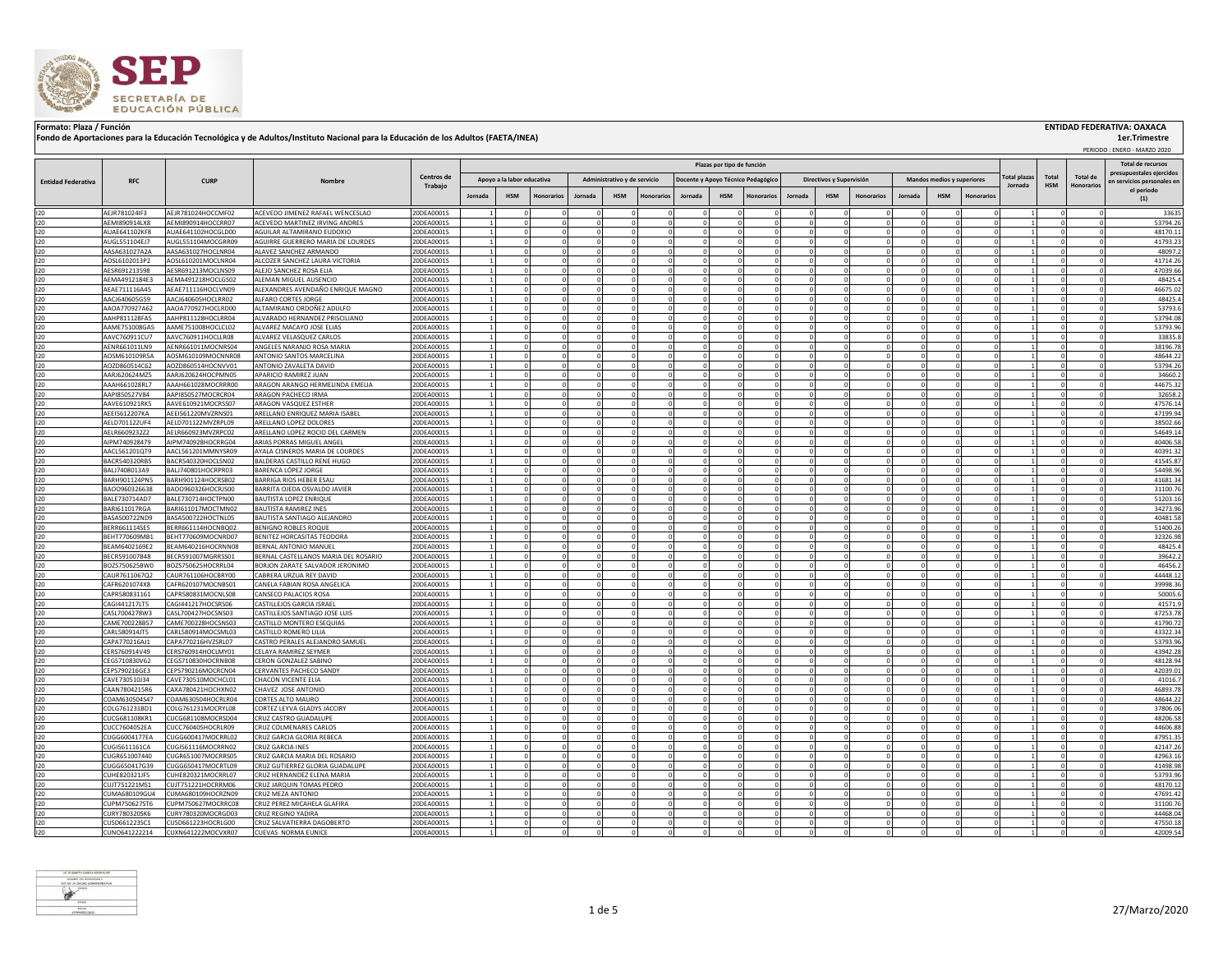

## Formato: Plaza / Función **ENTIDAD FEDERATIVA: OAXACA (INSTITUA) ENTIDAD FEDERATIVA: OAXACA**<br>Fondo de Aportaciones para la Educación Tecnológica y de Adultos/Instituto Nacional para la Educación de los Adultos (FAETA/INEA)

 **1er.Trimestre**

|                           |                                       |                                          |                                                           |                          |        |                            |                         |          |                              |                  |         |                            |                                    |                              |                          | PERIODO: ENERO - MARZO 2020 |                       |                            |                             |                                               |                            |                                                 |
|---------------------------|---------------------------------------|------------------------------------------|-----------------------------------------------------------|--------------------------|--------|----------------------------|-------------------------|----------|------------------------------|------------------|---------|----------------------------|------------------------------------|------------------------------|--------------------------|-----------------------------|-----------------------|----------------------------|-----------------------------|-----------------------------------------------|----------------------------|-------------------------------------------------|
|                           |                                       |                                          | Nombre                                                    |                          |        |                            |                         |          |                              |                  |         | Plazas por tipo de función |                                    |                              |                          |                             |                       |                            |                             |                                               |                            | Total de recursos                               |
| <b>Entidad Federativa</b> |                                       |                                          |                                                           | Centros de               |        | Apoyo a la labor educativa |                         |          | Administrativo y de servicio |                  |         |                            | Docente y Apoyo Técnico Pedagógico |                              | Directivos y Supervisión |                             |                       | Mandos medios y superiores |                             | Total<br><b>Total plazas</b>                  | <b>Total de</b>            | presupuestales eiercidos                        |
|                           | <b>RFC</b>                            | <b>CURP</b>                              |                                                           | <b>Trabaio</b>           | lomada | <b>HSM</b>                 | <b>Honorario</b>        | Jornada  | <b>HSM</b>                   | <b>Honorario</b> | Jornada | <b>HSM</b>                 |                                    | Jornada                      | <b>HSM</b>               | <b>Honorarios</b>           | <b>HSM</b><br>lornada |                            | Jornada<br><b>Honorario</b> | <b>HSM</b>                                    | Honorarios                 | en servicios personales er<br>el periodo<br>(1) |
| 120                       | AEJR781024IF3                         | AEJR781024HOCCMF02                       | ACEVEDO JIMENEZ RAFAEL WENCESLAO                          | 20DEA0001S               |        |                            | $\Omega$                |          |                              |                  |         |                            |                                    |                              |                          |                             |                       |                            |                             |                                               |                            | 33635                                           |
| 120                       | AEMI890914LX8                         | AEMI890914HOCCRR07                       | ACEVEDO MARTINEZ IRVING ANDRES                            | 20DEA0001S               |        |                            | $\Omega$                |          |                              |                  |         |                            |                                    | $\Omega$                     |                          | $\Omega$                    |                       |                            | $\Omega$                    |                                               |                            | 53794.2                                         |
| 120                       | AUAE641102KF8                         | AUAE641102HOCGLD00                       | AGUILAR ALTAMIRANO EUDOXIO                                | 20DEA0001S               |        |                            | $\Omega$                |          |                              |                  |         |                            |                                    |                              |                          |                             |                       |                            |                             |                                               |                            | 48170.1                                         |
| 120                       | AUGL551104EJ7                         | AUGL551104MOCGRR09                       | AGUIRRE GUERRERO MARIA DE LOURDES                         | 20DEA0001S               |        |                            | $\Omega$                |          | $\Omega$                     |                  |         |                            |                                    |                              |                          | $\Omega$                    |                       | $\Omega$                   | $\Omega$                    | $\Omega$                                      | $\Omega$                   | 41793.23                                        |
| 120                       | AASA631027A2A                         | AASA631027HOCLNR04                       | ALAVEZ SANCHEZ ARMANDO                                    | 20DEA0001S               |        |                            | $\Omega$                |          | $\Omega$                     |                  |         |                            |                                    | $\Omega$                     |                          | $\Omega$                    |                       | $\Omega$                   | $\Omega$                    | $\Omega$<br>1                                 | $\Omega$                   | 48097.2                                         |
| 120<br>120                | AOSL6102013P2<br>AESR691213598        | AOSL610201MOCLNR04<br>AESR691213MOCLNS09 | ALCOZER SANCHEZ LAURA VICTORIA<br>ALEJO SANCHEZ ROSA ELIA | 20DEA0001S<br>20DEA0001S |        |                            | $\Omega$<br>$\Omega$    |          |                              |                  |         |                            |                                    |                              |                          |                             |                       | $\Omega$                   |                             |                                               |                            | 41714.26<br>47039.66                            |
| 120                       | AEMA4912184E3                         | AEMA491218HOCLGS02                       | ALEMAN MIGUEL AUSENCIO                                    | 20DEA0001S               |        |                            | $\Omega$                |          |                              |                  |         |                            |                                    |                              |                          |                             |                       |                            |                             |                                               |                            | 48425.4                                         |
| 120                       | AEAE711116A45                         | AEAE711116HOCLVN09                       | ALEXANDRES AVENDAÑO ENRIQUE MAGNO                         | 20DEA0001S               |        |                            | $\Omega$                |          |                              |                  |         |                            |                                    |                              |                          |                             |                       |                            |                             |                                               |                            | 46675.02                                        |
| 120                       | AACJ640605G59                         | AACJ640605HOCLRR02                       | ALFARO CORTES JORGE                                       | 20DEA0001S               |        |                            | $\Omega$                |          |                              |                  |         |                            |                                    |                              |                          |                             |                       | $\Omega$                   | $\Omega$                    |                                               |                            | 48425.4                                         |
| 120                       | AAOA770927A62                         | AAOA770927HOCLRD00                       | ALTAMIRANO ORDOÑEZ ADULFO                                 | 20DEA0001S               |        |                            | $\Omega$                |          | $\Omega$                     |                  |         |                            |                                    | $\Omega$                     |                          | $\Omega$                    |                       | $\Omega$                   | $\Omega$                    | $\Omega$                                      |                            | 53793.6                                         |
| 120                       | AAHP811128FA5                         | AAHP811128HOCLRR04                       | AI VARADO HERNANDEZ PRISCILIANO                           | 20DEA0001S               |        |                            | $\Omega$                |          | $\Omega$                     |                  |         |                            |                                    | $\Omega$                     |                          | $\Omega$                    |                       | $\Omega$                   | $\Omega$                    | $\Omega$                                      | $\Omega$                   | 53794.08                                        |
| 120<br>120                | AAME751008GA5<br>AAVC760911CU7        | AAME751008HOCLCL02<br>AAVC760911HOCLLR08 | ALVAREZ MACAYO JOSE ELIAS<br>ALVAREZ VELASQUEZ CARLOS     | 20DEA0001S<br>20DEA0001S |        | $\Omega$                   | $\mathbf 0$<br>$\Omega$ | $\Omega$ | $\Omega$<br>$\Omega$         |                  |         |                            |                                    | $\Omega$<br>$\Omega$         |                          | $\Omega$<br>$\Omega$        |                       | $\Omega$<br>$\Omega$       | $\Omega$<br>$\Omega$        | 0<br>1<br>$\Omega$                            | $\Omega$                   | 53793.96<br>33835.8                             |
| 120                       | AENR661011LN9                         | AENR661011MOCNRS04                       | ANGELES NARANJO ROSA MARIA                                | 20DEA0001S               |        |                            | $\Omega$                |          | $\Omega$                     |                  |         |                            |                                    |                              |                          |                             |                       |                            | $\Omega$                    | $\Omega$                                      |                            | 38196.78                                        |
| 120                       | AOSM610109R5A                         | AOSM610109MOCNNR08                       | ANTONIO SANTOS MARCELINA                                  | 20DEA0001S               |        |                            | $\Omega$                |          | $\Omega$                     |                  |         |                            |                                    | $\Omega$                     |                          | $\Omega$                    |                       | $\Omega$                   | $\Omega$                    | $\Omega$                                      | $\Omega$                   | 48644.2                                         |
| 120                       | AOZD860514C62                         | AOZD860514HOCNVV01                       | ANTONIO ZAVALETA DAVID                                    | 20DEA0001S               |        |                            | $\Omega$                |          |                              |                  |         |                            |                                    |                              |                          |                             |                       |                            |                             | $\Omega$                                      | $\Omega$                   | 53794.2                                         |
| 120                       | AARJ620624MZ5                         | AARJ620624HOCPMN05                       | APARICIO RAMIREZ JUAN                                     | 20DEA0001S               |        |                            | $\Omega$                |          |                              |                  |         |                            |                                    |                              |                          |                             |                       |                            |                             | $\Omega$                                      |                            | 34660.                                          |
| 120                       | AAAH661028RL7                         | AAAH661028MOCRRR00                       | ARAGON ARANGO HERMELINDA EMELIA                           | 20DEA0001S               |        |                            | $\Omega$<br>$\Omega$    |          |                              |                  |         |                            |                                    | $\Omega$                     |                          | $\Omega$<br>$\Omega$        |                       | $\Omega$<br>$\Omega$       |                             | $\sqrt{2}$<br>$\Omega$                        |                            | 44675.3                                         |
| 120<br>120                | AAPI850527V84<br>AAVE610921RK5        | AAPI850527MOCRCR04<br>AAVE610921MOCRSS07 | ARAGON PACHECO IRMA<br>ARAGON VASQUEZ ESTHER              | 20DEA0001S<br>20DEA0001S |        |                            | $\Omega$                |          | $\Omega$<br>$\Omega$         |                  |         |                            |                                    |                              |                          |                             |                       | $\Omega$                   |                             | $\Omega$                                      | $\Omega$                   | 32658.<br>47576.1                               |
| 120                       | AEEI5612207KA                         | AEEI561220MVZRNS01                       | ARELLANO ENRIQUEZ MARIA ISABEL                            | 20DEA0001S               |        |                            |                         |          |                              |                  |         |                            |                                    |                              |                          |                             |                       |                            |                             |                                               |                            | 47199.9                                         |
| 120                       | AELD701122UF4                         | AELD701122MVZRPL09                       | ARELLANO LOPEZ DOLORES                                    | 20DEA0001S               |        |                            | $\Omega$                |          |                              |                  |         |                            |                                    |                              |                          |                             |                       |                            |                             |                                               |                            | 38502.6                                         |
| 120                       | AELR6609232Z2                         | AELR660923MVZRPC02                       | ARELLANO LOPEZ ROCIO DEL CARMEN                           | 20DEA0001S               |        |                            | $\Omega$                |          |                              |                  |         |                            |                                    |                              |                          |                             |                       |                            |                             |                                               |                            | 54649.1                                         |
| 120                       | AIPM740928479                         | AIPM740928HOCRRG04                       | ARIAS PORRAS MIGUEL ANGEL                                 | 20DEA0001S               |        |                            | $\Omega$                | $\Omega$ | $\Omega$                     |                  |         |                            |                                    | $\Omega$                     |                          | $\Omega$                    |                       | $\Omega$                   | $\Omega$                    | $\Omega$                                      | $\Omega$                   | 40406.58                                        |
| 120                       | AACL561201QT9                         | AACL561201MMNYSR09                       | AYALA CISNEROS MARIA DE LOURDES                           | 20DEA0001S               |        |                            | $\Omega$                | $\Omega$ | $\Omega$                     |                  |         |                            |                                    | $\Omega$                     |                          | $\Omega$                    |                       | $\Omega$                   | $\Omega$                    | $\Omega$                                      | $\Omega$                   | 40391.32                                        |
| 120                       | BACR540320RB5                         | BACR540320HOCLSN02                       | BALDERAS CASTILLO RENE HUGO                               | 20DEA0001S               |        |                            | $\Omega$                |          | $\Omega$<br>$\Omega$         |                  |         |                            |                                    | $\Omega$                     |                          | $\Omega$<br>$\Omega$        |                       | $\Omega$                   | $\Omega$                    |                                               |                            | 41545.87                                        |
| 120<br>120                | BALJ7408013A9<br>BARH901124PN5        | BALJ740801HOCRPR03<br>BARH901124HOCRSB02 | <b>BARENCA LÓPEZ JORGE</b><br>BARRIGA RIOS HEBER ESAU     | 20DEA0001S<br>20DEA0001S |        |                            | $\circ$<br>$\mathbf 0$  |          | $\Omega$                     |                  |         |                            |                                    | $\mathbf{0}$<br>$\mathbf{0}$ |                          | $\Omega$                    |                       | $^{\circ}$<br>$^{\circ}$   | $^{\circ}$<br>$\Omega$      | 11<br>$\mathbf 0$<br>$\mathbf{1}$<br>$\Omega$ | $\mathbf 0$<br>$\mathbf 0$ | 54498.96<br>41681.34                            |
| 120                       | BAO0960326638                         | BAOO960326HOCRJS00                       | BARRITA OJEDA OSVALDO JAVIER                              | 20DEA0001S               |        |                            | $\mathbf 0$             |          | $\Omega$                     |                  |         |                            |                                    | $\mathbf{0}$                 |                          | $\Omega$                    |                       | $^{\circ}$                 | $^{\circ}$                  | $\mathbf{1}$<br>0                             | $\mathbf 0$                | 31100.76                                        |
| 120                       | BALE730714AD7                         | BALE730714HOCTPN00                       | <b>BAUTISTA LOPEZ ENRIQUE</b>                             | 20DEA0001S               |        |                            | $\Omega$                |          | $\Omega$                     |                  |         |                            |                                    | $\Omega$                     |                          | $\Omega$                    |                       | $\Omega$                   | $\Omega$                    | $\Omega$<br>1                                 | $\Omega$                   | 51203.16                                        |
| 120                       | BARI611017RGA                         | BARI611017MOCTMN02                       | <b>BAUTISTA RAMIREZ INES</b>                              | 20DEA0001S               |        |                            | $\Omega$                |          | $\Omega$                     |                  |         |                            |                                    | $\Omega$                     |                          | $\Omega$                    |                       | $\Omega$                   | $\Omega$                    | $\Omega$<br>1                                 | $\Omega$                   | 34273.96                                        |
| 120                       | BASA500722ND9                         | BASA500722HOCTNL05                       | BAUTISTA SANTIAGO ALEJANDRO                               | 20DEA0001S               |        |                            | $\Omega$                |          | $\Omega$                     |                  |         |                            |                                    | $\Omega$                     |                          | $\Omega$                    |                       | $\Omega$                   | $\Omega$                    | $\Omega$                                      | $\Omega$                   | 40481.58                                        |
| 120<br>120                | BERR661114SE5<br>BEHT770609MB1        | BERR661114HOCNBQ02<br>BEHT770609MOCNRD07 | <b>BENIGNO ROBLES ROQUE</b>                               | 20DEA0001S<br>20DEA0001S |        |                            | $\Omega$<br>$\Omega$    |          | $\Omega$                     |                  |         |                            |                                    |                              |                          |                             |                       | $\Omega$                   | $\Omega$                    | $\Omega$                                      | $\Omega$                   | 51400.26                                        |
| 120                       | BEAM6402169E2                         | BEAM640216HOCRNN08                       | BENITEZ HORCASITAS TEODORA<br>BERNAL ANTONIO MANUEL       | 20DEA0001S               |        |                            | $\Omega$                |          |                              |                  |         |                            |                                    |                              |                          |                             |                       |                            |                             |                                               |                            | 32326.98<br>48425.4                             |
| 120                       | BECR591007B48                         | BECR591007MGRRSS01                       | BERNAL CASTELLANOS MARIA DEL ROSARIO                      | 20DEA0001S               |        |                            |                         |          |                              |                  |         |                            |                                    |                              |                          |                             |                       |                            |                             |                                               |                            | 39642.2                                         |
| 120                       | BOZS750625BW0                         | BOZS750625HOCRRL04                       | BORJON ZARATE SALVADOR JERONIMO                           | 20DEA0001S               |        |                            | $\mathbf 0$             |          |                              |                  |         |                            |                                    |                              |                          |                             |                       | $\mathbf{0}$               | $\Omega$                    | $\Omega$<br>1                                 |                            | 46456.2                                         |
| 120                       | CAUR7611067Q2                         | CAUR761106HOCBRY00                       | CABRERA URZUA REY DAVID                                   | 20DEA0001S               |        |                            | $\Omega$                |          |                              |                  |         |                            |                                    | $\Omega$                     |                          |                             |                       | $\Omega$                   | $\Omega$                    | $\Omega$                                      |                            | 44448.12                                        |
| 120                       | CAFR6201074X8                         | CAFR620107MOCNBS01                       | CANELA FABIAN ROSA ANGELICA                               | 20DEA0001S               |        |                            | $\Omega$                |          |                              |                  |         |                            |                                    |                              |                          |                             |                       |                            |                             |                                               |                            | 39998.36                                        |
| 120                       | CAPR580831161<br>CAGI441217LT5        | CAPR580831MOCNLS08<br>CAGI441217HOCSRS06 | CANSECO PALACIOS ROSA<br>CASTILLEJOS GARCIA ISRAEL        | 20DEA0001S<br>20DEA0001S |        | $\mathbf{0}$               | $\mathbf 0$<br>$\circ$  | $\Omega$ | $\Omega$<br>$^{\circ}$       |                  |         |                            |                                    | $^{\circ}$<br>$\mathbf{0}$   |                          | -C<br>$\Omega$              |                       | $\Omega$<br>$^{\circ}$     | $\Omega$<br>$^{\circ}$      | $\Omega$<br>1<br>$^{\circ}$                   | $^{\circ}$                 | 50005.6<br>41571.                               |
| 120<br>120                | CASL7004278W3                         | CASL700427HOCSNS03                       | CASTILLEJOS SANTIAGO JOSE LUIS                            | 20DEA0001S               |        |                            | $\Omega$                |          |                              |                  |         |                            |                                    | $\Omega$                     |                          |                             |                       |                            |                             | $\Omega$                                      |                            | 47253.78                                        |
| 120                       | CAME700228B57                         | CAME700228HOCSNS03                       | CASTILLO MONTERO ESEQUIAS                                 | 20DEA0001S               |        |                            | $\Omega$                |          |                              |                  |         |                            |                                    |                              |                          | $\Omega$                    |                       | $\Omega$                   | $\Omega$                    | $\Omega$                                      |                            | 41790.7                                         |
| 120                       | CARL580914JT5                         | CARL580914MOCSML03                       | CASTILLO ROMERO LILIA                                     | 20DEA0001S               |        |                            | $\Omega$                |          |                              |                  |         |                            |                                    |                              |                          |                             |                       |                            |                             | $\Omega$                                      | $\Omega$                   | 43322.3                                         |
| 120                       | CAPA770216AJ1                         | CAPA770216HVZSRL07                       | CASTRO PERALES ALEJANDRO SAMUEL                           | 20DEA0001S               |        |                            |                         |          |                              |                  |         |                            |                                    |                              |                          |                             |                       |                            |                             |                                               |                            | 53793.9                                         |
| 120                       | CERS760914V49                         | CERS760914HOCLMY01                       | CELAYA RAMIREZ SEYMER                                     | 20DEA0001S               |        | $\Omega$                   | $\Omega$<br>$\Omega$    |          | $\Omega$                     |                  |         |                            |                                    | $\sim$<br>$\Omega$           |                          | $\Omega$<br>$\Omega$        |                       | $\Omega$<br>$\Omega$       | $\Omega$                    | $\Delta$<br>$\Omega$                          | $\sqrt{2}$<br>$\Omega$     | 43942.2                                         |
| 120<br>120                | CEGS710830V62<br>CEPS790216GE3        | CEGS710830HOCRNB08<br>CEPS790216MOCRCN04 | <b>CERON GONZALEZ SABINO</b><br>CERVANTES PACHECO SANDY   | 20DEA0001S<br>20DEA0001S |        |                            |                         |          |                              |                  |         |                            |                                    |                              |                          |                             |                       |                            |                             |                                               |                            | 48128.94<br>42039.0                             |
| 120                       | CAVE730510J34                         | CAVE730510MOCHCL01                       | CHACON VICENTE ELIA                                       | 20DEA0001S               |        |                            |                         |          |                              |                  |         |                            |                                    |                              |                          |                             |                       |                            |                             |                                               |                            | 41016.                                          |
| 120                       | CAAN7804215R6                         | CAXA780421HOCHXN02                       | CHAVEZ JOSE ANTONIO                                       | 20DEA0001S               |        |                            |                         |          |                              |                  |         |                            |                                    |                              |                          |                             |                       |                            |                             |                                               |                            | 46893.7                                         |
| 120                       | COAM630504S47                         | COAM630504HOCRLR04                       | CORTES ALTO MAURO                                         | 20DEA0001S               |        |                            | $\Omega$                |          |                              |                  |         |                            |                                    |                              |                          |                             |                       |                            |                             |                                               |                            | 48644.2                                         |
| 120                       | COLG761231BD1                         | COLG761231MOCRYL08                       | CORTEZ LEYVA GLADYS JACCIRY                               | 20DEA0001S               |        |                            | $\Omega$                |          | $\Omega$                     |                  |         |                            |                                    | $\Omega$                     |                          | $\Omega$                    |                       | $\Omega$                   | $\Omega$                    | $\Omega$                                      |                            | 37806.06                                        |
| 120                       | CUCG681108KR1                         | CUCG681108MOCRSD04                       | CRUZ CASTRO GUADALUPE                                     | 20DEA0001S               |        |                            | $^{\circ}$              |          | $\Omega$<br>$\Omega$         |                  |         |                            |                                    | $\Omega$                     |                          | $\Omega$<br>$\Omega$        |                       | $^{\circ}$                 | $\Omega$<br>$\Omega$        | $\Omega$                                      |                            | 48206.58                                        |
| 120<br>120                | CUCC7604052EA<br><b>CUGG6004177EA</b> | CUCC760405HOCRLR09<br>CUGG600417MOCRRL02 | CRUZ COLMENARES CARLOS<br>CRUZ GARCIA GLORIA REBECA       | 20DEA0001S<br>20DEA0001S |        |                            | $\Omega$<br>$\mathbf 0$ |          | $\Omega$                     |                  |         |                            |                                    | $\Omega$<br>$\mathbf{0}$     |                          | $\Omega$                    |                       | $\Omega$<br>$^{\circ}$     | $\Omega$                    | 1 <sup>1</sup><br>$\Omega$                    | $\mathbf 0$                | 44606.88<br>47951.35                            |
| 120                       | CUGI5611161CA                         | CUGI561116MOCRRN02                       | CRUZ GARCIA INES                                          | 20DEA0001S               |        |                            | $\mathbf 0$             |          | $\Omega$                     |                  |         |                            |                                    | $\mathbf{0}$                 |                          | $\Omega$                    |                       | $^{\circ}$                 | $\Omega$                    | $\mathbf{1}$<br>$\mathbf 0$                   | $\mathbf 0$                | 42147.26                                        |
| 120                       | CUGR651007440                         | CUGR651007MOCRRS05                       | CRUZ GARCIA MARIA DEL ROSARIO                             | 20DEA0001S               |        |                            | $^{\circ}$              |          | $\Omega$                     |                  |         |                            |                                    | $\mathbf{0}$                 |                          | $\Omega$                    |                       | $^{\circ}$                 | $\Omega$                    | $\mathbf{1}$<br>$\mathbf{0}$                  | $\mathbf{0}$               | 42963.16                                        |
| 120                       | CUGG650417G39                         | CUGG650417MOCRTL09                       | CRUZ GUTIERREZ GLORIA GUADALUPE                           | 20DEA0001S               |        |                            | $\Omega$                |          | $\Omega$                     |                  |         |                            |                                    |                              |                          | $\Omega$                    |                       | $\Omega$                   | $\Omega$                    | $\Omega$                                      | $\Omega$                   | 41498.98                                        |
| 120                       | CUHE820321JF5                         | CUHE820321MOCRRL07                       | CRUZ HERNANDEZ ELENA MARIA                                | 20DEA0001S               |        |                            | $\Omega$                |          | $\Omega$                     |                  |         |                            |                                    | $\Omega$                     |                          | $\Omega$                    |                       | $\Omega$                   | $\Omega$                    | $\Omega$                                      | $\Omega$                   | 53793.96                                        |
| 120                       | CUJT751221MS1                         | CUJT751221HOCRRM06                       | CRUZ JARQUIN TOMAS PEDRO                                  | 20DEA0001S               |        |                            | $\Omega$                |          |                              |                  |         |                            |                                    |                              |                          | $\Omega$                    |                       | $\Omega$                   | $\Omega$                    | $\Omega$                                      | $\Omega$                   | 48170.12                                        |
| 120<br>120                | CUMA680109GU4<br>CUPM750627ST6        | CUMA680109HOCRZN09<br>CUPM750627MOCRRC08 | CRUZ MEZA ANTONIO<br>CRUZ PEREZ MICAHELA GLAFIRA          | 20DEA0001S<br>20DEA0001S |        |                            | $\Omega$<br>$\Omega$    |          |                              |                  |         |                            |                                    |                              |                          |                             |                       |                            |                             |                                               |                            | 47691.42<br>31100.76                            |
| 120                       | CURY780320SK6                         | CURY780320MOCRGD03                       | CRUZ REGINO YADIRA                                        | 20DEA0001S               |        |                            | $\Omega$                |          | $\Omega$                     |                  |         |                            |                                    | $\Omega$                     |                          | $\Omega$                    |                       | $\mathbf 0$                | $\Omega$                    | $\Omega$                                      |                            | 44468.04                                        |
| 120                       | CUSD661223SC1                         | CUSD661223HOCRLG00                       | CRUZ SALVATIERRA DAGOBERTO                                | 20DEA0001S               |        |                            | $\Omega$                |          |                              |                  |         |                            |                                    |                              |                          |                             |                       |                            |                             |                                               |                            | 47550.18                                        |
| 120                       | CUNO641222214                         | CUXN641222MOCVXR07                       | CUEVAS NORMA EUNICE                                       | 20DEA0001S               |        |                            | $\mathbf 0$             |          |                              |                  |         |                            |                                    |                              |                          |                             |                       |                            |                             |                                               |                            | 42009.54                                        |

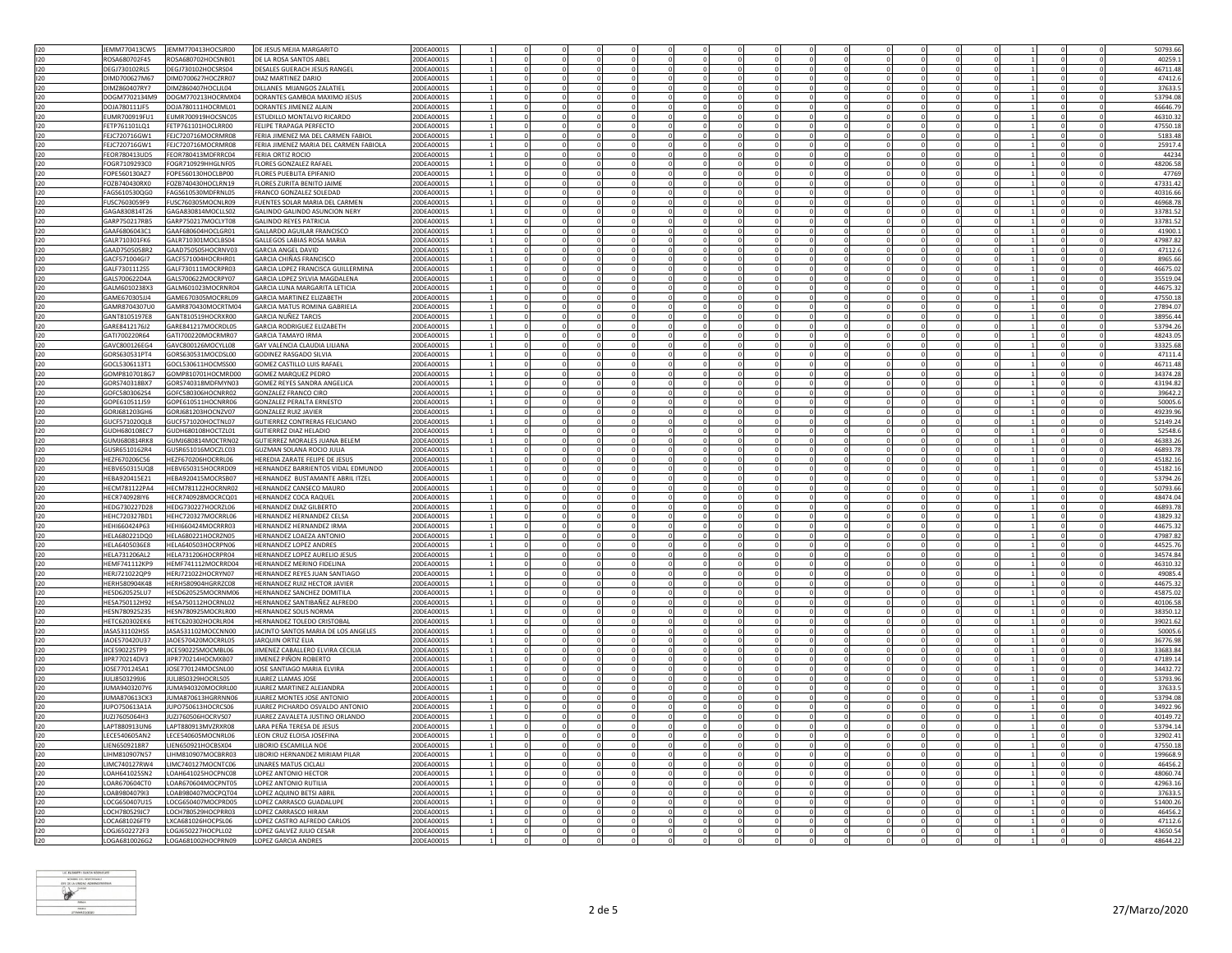| 120 | JEMM770413CW5        | JEMM770413HOCSJR00        | DE JESUS MEJIA MARGARITO               | 20DEA0001S |                      |             |          |                      |          |                      |          |                         |  | 50793.66 |
|-----|----------------------|---------------------------|----------------------------------------|------------|----------------------|-------------|----------|----------------------|----------|----------------------|----------|-------------------------|--|----------|
| 120 | ROSA680702F45        | ROSA680702HOCSNB01        | DE LA ROSA SANTOS ABEL                 | 20DEA0001S |                      |             |          |                      |          |                      |          |                         |  | 40259.   |
| 120 | DEGJ730102RL5        | DEGJ730102HOCSRS04        | DESALES GUERACH JESUS RANGEI           | 20DEA0001S |                      |             |          |                      |          |                      |          |                         |  | 46711.48 |
|     |                      |                           |                                        |            |                      |             |          |                      |          |                      |          |                         |  |          |
| 120 | DIMD700627M67        | DIMD700627HOCZRR07        | DIAZ MARTINEZ DARIO                    | 20DEA0001S |                      |             |          |                      |          |                      |          |                         |  | 47412.   |
| 120 | DIMZ860407RY7        | DIMZ860407HOCLJL04        | DILLANES MIJANGOS ZALATIE              | 20DEA0001S |                      |             |          |                      |          |                      |          | $\Omega$                |  | 37633.   |
| 120 | DOGM7702134M9        | DOGM770213HOCRMX04        | DORANTES GAMBOA MAXIMO JESUS           | 20DEA0001S |                      |             |          |                      |          |                      |          |                         |  | 53794.0  |
|     |                      |                           |                                        |            |                      |             |          |                      |          |                      |          |                         |  |          |
| 120 | DOJA780111JF5        | DOJA780111HOCRML01        | DORANTES JIMENEZ ALAIN                 | 20DEA0001S |                      |             |          |                      |          |                      |          |                         |  | 46646.7  |
| 120 | FUMR700919FU1        | EUMR700919HOCSNC05        | ESTUDILLO MONTALVO RICARDO             | 20DEA0001S | $\Omega$<br>$\Omega$ |             |          | $\Omega$<br>$\Omega$ | $\Omega$ | $\Omega$<br>$\Omega$ |          | $\Omega$                |  | 46310.32 |
| 120 | ETP761101LO1         | FETP761101HOCLRR00        | FELIPE TRAPAGA PERFECTO                | 20DEA0001S |                      |             |          |                      |          |                      |          |                         |  | 47550.18 |
|     |                      |                           |                                        |            |                      |             |          |                      |          |                      |          |                         |  |          |
| 120 | FEJC720716GW1        | FEJC720716MOCRMR08        | FERIA JIMENEZ MA DEL CARMEN FABIOL     | 20DEA0001S |                      |             |          |                      |          | $\Omega$             |          | $\Omega$                |  | 5183.48  |
| 120 | FEJC720716GW1        | FEJC720716MOCRMR08        | FERIA JIMENEZ MARIA DEL CARMEN FABIOLA | 20DEA0001S |                      |             |          |                      |          | $^{\circ}$           |          | $\mathbf 0$             |  | 25917.   |
| 120 | FEOR780413UD5        | FFOR780413MDFRRC04        | FERIA ORTIZ ROCIO                      | 20DEA0001S |                      |             |          |                      |          | $^{\circ}$           |          | $\Omega$                |  | 44234    |
|     |                      |                           |                                        |            |                      |             |          |                      |          |                      |          |                         |  |          |
| 120 | FOGR7109293C0        | FOGR710929HHGLNF05        | <b>FLORES GONZALEZ RAFAEL</b>          | 20DEA0001S |                      |             |          |                      |          |                      |          |                         |  | 48206.58 |
| 120 | FOPE560130AZ7        | FOPE560130HOCLBP00        | FLORES PUEBLITA EPIFANIO               | 20DEA0001S |                      |             |          |                      |          |                      |          | $\Omega$                |  | 47769    |
| 120 | FOZB740430RX0        | FOZB740430HOCLRN19        | <b>FLORES ZURITA BENITO JAIME</b>      | 20DEA0001S |                      |             |          |                      |          |                      |          |                         |  | 47331.42 |
|     |                      |                           |                                        |            |                      |             |          |                      |          |                      |          |                         |  |          |
| 120 | FAGS610530QG0        | FAGS610530MDFRNL05        | FRANCO GONZALEZ SOLEDAD                | 20DEA0001S |                      |             |          |                      |          |                      |          |                         |  | 40316.6  |
| 120 | <b>FUSC7603059F9</b> | EUSC760305MOCNLR09        | FUENTES SOLAR MARIA DEL CARMEN         | 20DEA0001S |                      |             |          |                      |          | $\Omega$             |          | $\Omega$                |  | 46968.78 |
| 120 | GAGA830814T26        | GAGA830814MOCLLS02        | GALINDO GALINDO ASUNCION NERY          | 20DEA0001S |                      |             |          |                      |          |                      |          |                         |  | 33781.5  |
|     |                      |                           |                                        |            |                      | $\Omega$    |          | $\Omega$             |          |                      |          |                         |  |          |
| 120 | GARP750217RB5        | GARP750217MOCLYT08        | <b>GALINDO REYES PATRICIA</b>          | 20DEA0001S | $\Omega$             |             |          |                      | $\Omega$ | $\Omega$<br>$\Omega$ |          | $\Omega$                |  | 33781.5  |
| 120 | GAAF6806043C1        | GAAF680604HOCLGR01        | <b>GALLARDO AGUILAR FRANCISCO</b>      | 20DEA0001S | $\mathbf 0$          | $\mathbf 0$ |          |                      |          | $\mathbf 0$          |          | $\mathbf{0}$            |  | 41900.   |
| 120 | GAI R710301FK6       | GALR710301MOCLBS04        | GALLEGOS LABIAS ROSA MARIA             | 20DEA0001S | $\Omega$<br>$\Omega$ | $\Omega$    | $\Omega$ | $\Omega$<br>$\Omega$ | $\Omega$ | $\Omega$<br>$\Omega$ | $\Omega$ | $\overline{0}$          |  | 47987.82 |
|     |                      |                           |                                        |            |                      |             |          |                      |          |                      |          |                         |  |          |
| 120 | GAAD7505058R2        | GAAD750505HOCRNV03        | <b>GARCIA ANGEL DAVID</b>              | 20DEA0001S |                      |             |          |                      |          |                      |          |                         |  | 47112.   |
| 120 | GACF571004GI7        | GACF571004HOCRHR01        | GARCIA CHIÑAS FRANCISCO                | 20DEA0001S |                      |             |          |                      |          |                      |          | $\Omega$                |  | 8965.6   |
| 120 | GALF7301112S5        | GALF730111MOCRPR03        | GARCIA LOPEZ FRANCISCA GUILLERMINA     | 20DEA0001S |                      |             |          |                      |          |                      |          |                         |  | 46675.0  |
|     |                      |                           |                                        |            |                      |             |          |                      |          |                      |          |                         |  |          |
| 120 | GALS700622D4A        | GALS700622MOCRPY07        | GARCIA LOPEZ SYLVIA MAGDALENA          | 20DEA0001S |                      |             |          |                      |          |                      |          |                         |  | 35519.0  |
| 120 | GALM6010238X3        | GALM601023MOCRNR04        | <b>GARCIA LUNA MARGARITA LETICIA</b>   | 20DEA0001S |                      |             |          |                      |          |                      |          |                         |  | 44675.32 |
| 120 | GAME670305JJ4        | GAME670305MOCRRL09        | <b>GARCIA MARTINEZ ELIZABETH</b>       | 20DEA0001S |                      |             |          |                      |          |                      |          |                         |  | 47550.18 |
|     | GAMR8704307U0        | GAMR870430MOCRTM04        | <b>GARCIA MATUS ROMINA GABRIELA</b>    | 20DEA0001S |                      |             |          |                      |          |                      |          |                         |  |          |
| 120 |                      |                           |                                        |            |                      |             |          |                      |          |                      |          |                         |  | 27894.0  |
| 120 | GANT8105197E8        | GANT810519HOCRXR00        | <b>GARCIA NUÑEZ TARCIS</b>             | 20DEA0001S |                      |             |          |                      |          |                      |          | $^{\circ}$              |  | 38956.44 |
| 120 | GARF841217612        | GARE841217MOCRDL05        | <b>GARCIA RODRIGUEZ ELIZABETH</b>      | 20DEA0001S | $\Omega$<br>$\Omega$ |             | $\Omega$ | $\Omega$             | $\Omega$ | $\Omega$<br>$\Omega$ |          | $\Omega$                |  | 53794.26 |
| 120 | GATI700220R64        | GATI700220MOCRMR07        | <b>GARCIA TAMAYO IRMA</b>              | 20DEA0001S |                      |             |          |                      |          |                      |          |                         |  | 48243.05 |
|     |                      |                           |                                        |            |                      |             |          |                      |          |                      |          |                         |  |          |
| 120 | GAVC800126EG4        | GAVC800126MOCYLL08        | GAY VALENCIA CLAUDIA LILIANA           | 20DEA0001S |                      |             |          |                      |          |                      |          | $\Omega$                |  | 33325.68 |
| 120 | GORS630531PT4        | GORS630531MOCDSL00        | GODINEZ RASGADO SILVIA                 | 20DEA0001S |                      |             |          |                      |          | $^{\circ}$           |          | $\mathbf 0$             |  | 47111.4  |
|     |                      |                           |                                        |            |                      |             |          |                      |          |                      |          |                         |  |          |
| 120 | GOCL5306113T1        | GOCL530611HOCMSS00        | GOMEZ CASTILLO LUIS RAFAEI             | 20DEA00019 |                      |             |          |                      |          |                      |          |                         |  | 46711.48 |
| 120 | GOMP8107018G7        | GOMP810701HOCMRD00        | GOMEZ MARQUEZ PEDRO                    | 20DEA0001S |                      |             |          |                      |          |                      |          |                         |  | 34374.28 |
| 120 | GORS740318BX7        | GORS740318MDFMYN03        | GOMEZ REYES SANDRA ANGELICA            | 20DEA0001S |                      |             |          |                      |          |                      |          |                         |  | 43194.8  |
| 120 | GOEC580306254        | GOEC580306HOCNRR02        | GONZALEZ FRANCO CIRO                   | 20DEA0001S |                      |             |          |                      |          |                      |          |                         |  | 39642.   |
|     |                      |                           |                                        |            |                      |             |          |                      |          |                      |          |                         |  |          |
| 120 | GOPE610511J59        | GOPE610511HOCNRR06        | <b>GONZALEZ PERALTA ERNESTO</b>        | 20DEA0001S |                      |             |          |                      |          |                      |          |                         |  | 50005.   |
| 120 | GORJ681203GH6        | GORJ681203HOCNZV07        | <b>GONZALEZ RUIZ JAVIER</b>            | 20DEA0001S |                      |             |          |                      |          |                      |          | - 0                     |  | 49239.9  |
|     |                      |                           |                                        |            |                      |             |          |                      |          |                      |          |                         |  |          |
| 120 | GUCF571020QL8        | GUCF571020HOCTNL07        | GUTIERREZ CONTRERAS FELICIANO          | 20DEA0001S |                      |             |          |                      |          |                      |          |                         |  | 52149.24 |
| 120 | GUDH680108EC7        | GUDH680108HOCTZL01        | <b>GUTIERREZ DIAZ HELADIO</b>          | 20DEA0001S | $\Omega$             | $\Omega$    |          | $\Omega$             |          | $\Omega$<br>$\Omega$ |          | $\Omega$                |  | 52548.   |
| 120 | GUMJ680814RK8        | GUMJ680814MOCTRN02        | GUTIERREZ MORALES JUANA BELEM          | 20DEA0001S | 0                    |             |          |                      |          | $^{\circ}$           |          | $\mathbf 0$             |  | 46383.26 |
| 120 | GUSR6510162R4        | GUSR651016MOCZLC03        | GUZMAN SOLANA ROCIO IULIA              | 20DEA0001S | $\Omega$             |             |          | $\Omega$             |          | $\Omega$             |          | $\Omega$                |  | 46893.78 |
|     |                      |                           |                                        |            |                      |             |          |                      |          |                      |          |                         |  |          |
| 120 | <b>IEZF670206C56</b> | HEZF670206HOCRRL06        | HEREDIA ZARATE FELIPE DE JESUS         | 20DEA0001S |                      |             |          |                      |          |                      |          |                         |  | 45182.16 |
| 120 | HEBV650315UQ8        | HEBV650315HOCRRD09        | HERNANDEZ BARRIENTOS VIDAL EDMUNDO     | 20DEA0001S |                      |             |          |                      |          |                      |          | $\Omega$                |  | 45182.1  |
| 120 | HEBA920415E21        | HEBA920415MOCRSB07        | HERNANDEZ BUSTAMANTE ABRIL ITZEL       | 20DEA0001S |                      |             |          |                      |          | $\Omega$             |          | $\Omega$                |  | 53794.2  |
|     |                      |                           |                                        |            |                      |             |          |                      |          |                      |          |                         |  |          |
| 120 | HECM781122PA4        | HECM781122HOCRNR02        | HERNANDEZ CANSECO MAURO                | 20DEA0001S |                      |             |          |                      |          |                      |          | $\mathbf 0$             |  | 50793.66 |
| 120 | HECR740928IY6        | HECR740928MOCRCQ01        | <b>HERNANDEZ COCA RAQUEL</b>           | 20DEA0001S |                      |             |          |                      |          |                      |          |                         |  | 48474.0  |
| 120 | HEDG730227D28        | HEDG730227HOCRZL06        | HERNANDEZ DIAZ GILBERTO                | 20DEA0001S |                      |             |          |                      |          |                      |          |                         |  | 46893.78 |
|     |                      |                           |                                        |            |                      |             |          |                      |          |                      |          |                         |  |          |
| 120 | HFHC720327BD1        | HEHC720327MOCRRL06        | <b>HERNANDEZ HERNANDEZ CELSA</b>       | 20DEA0001S | $\Omega$             | $\Omega$    |          | $\Omega$             |          | $\Omega$             |          | $\Omega$                |  | 43829.3  |
| 120 | HEHI660424P63        | <b>HEHI660424MOCRRR03</b> | HERNANDEZ HERNANDEZ IRMA               | 20DEA0001S |                      |             |          |                      |          | $\mathbf 0$          |          | $\mathbf 0$             |  | 44675.3  |
| 120 | HELA680221DO0        | HELA680221HOCRZN05        | HERNANDEZ LOAEZA ANTONIO               | 20DEA0001S |                      |             |          |                      |          | $\Omega$             |          | $\Omega$                |  | 47987.82 |
|     |                      |                           |                                        |            |                      |             |          |                      |          |                      |          |                         |  |          |
| 120 | IELA6405036E8        | HELA640503HOCRPN06        | HERNANDEZ LOPEZ ANDRES                 | 20DEA0001S |                      |             |          |                      |          |                      |          |                         |  | 44525.76 |
| 120 | HELA731206AL2        | HELA731206HOCRPR04        | HERNANDEZ LOPEZ AURELIO JESUS          | 20DEA0001S |                      |             |          |                      |          | $\Omega$             |          | $\Omega$                |  | 34574.8  |
| 120 | <b>HEMF741112KP9</b> | HEMF741112MOCRRD04        | HERNANDEZ MERINO FIDELINA              | 20DEA0001S | $^{\circ}$           |             |          |                      |          | $^{\circ}$           |          | $\mathbf{0}$            |  | 46310.32 |
|     |                      |                           |                                        |            |                      |             |          |                      |          |                      |          |                         |  |          |
| 120 | HERJ721022QP9        | HERJ721022HOCRYN07        | HERNANDEZ REYES JUAN SANTIAGO          | 20DEA0001S |                      |             |          |                      |          |                      |          | $\mathbf 0$             |  | 49085.4  |
| 120 | HERH580904K48        | HERH580904HGRRZC08        | HERNANDEZ RUIZ HECTOR JAVIER           | 20DEA0001S |                      |             |          |                      |          |                      |          |                         |  | 44675.32 |
| 120 | HESD620525LU7        | HESD620525MOCRNM06        | HERNANDEZ SANCHEZ DOMITILA             | 20DEA0001S |                      |             |          |                      |          |                      |          |                         |  | 45875.0  |
| 120 | HFSA750112H92        | HFSA750112HOCRNL02        | HERNANDEZ SANTIBAÑEZ ALEREDO           | 20DEA0001S | $\Omega$             |             |          |                      |          | $\Omega$             |          | $\Omega$                |  | 40106.5  |
|     |                      |                           |                                        |            |                      |             |          |                      |          |                      |          |                         |  |          |
| 120 | HESN780925235        | HESN780925MOCRLR00        | HERNANDEZ SOLIS NORMA                  | 20DEA0001S |                      |             |          |                      |          |                      |          | $\overline{0}$          |  | 38350.12 |
| 120 | HETC620302EK6        | HETC620302HOCRLR04        | <b>HERNANDEZ TOLEDO CRISTOBAL</b>      | 20DEA0001S |                      |             |          |                      |          |                      |          |                         |  | 39021.62 |
| 120 | ASA531102HS5         | JASA531102MOCCNN00        | JACINTO SANTOS MARIA DE LOS ANGELES    | 20DEA0001S |                      |             |          |                      |          |                      |          |                         |  | 50005.   |
|     |                      |                           |                                        |            |                      |             |          |                      |          |                      |          |                         |  |          |
| 120 | JAOE570420U37        | JAOE570420MOCRRL05        | <b>IAROUIN ORTIZ FIIA</b>              | 20DEA0001S | $\Omega$             | $\Omega$    |          |                      |          | $\Omega$<br>$\Omega$ |          | $\Omega$                |  | 36776.98 |
| 120 | JICE590225TP9        | JICE590225MOCMBL06        | JIMENEZ CABALLERO ELVIRA CECILIA       | 20DEA0001S | $\mathbf 0$          |             |          |                      |          | $^{\circ}$           |          | $\mathbf 0$             |  | 33683.84 |
| 120 | JIPR770214DV3        | JIPR770214HOCMXB07        | JIMENEZ PIÑON ROBERTO                  | 20DEA0001S |                      |             |          |                      |          |                      |          | $\mathbf 0$             |  | 47189.14 |
|     |                      |                           |                                        |            |                      |             |          |                      |          |                      |          |                         |  |          |
| 120 | JOSE770124SA1        | JOSE770124MOCSNL00        | JOSE SANTIAGO MARIA ELVIRA             | 20DEA0001S |                      |             |          |                      |          |                      |          |                         |  | 34432.72 |
| 120 | JULJ8503299J6        | JULJ850329HOCRLS05        | <b>JUAREZ LLAMAS JOSE</b>              | 20DEA0001S |                      |             |          |                      |          |                      |          | $\Omega$                |  | 53793.9  |
| 120 | JUMA9403207Y6        | JUMA940320MOCRRL00        | JUAREZ MARTINEZ ALEJANDRA              | 20DEA0001S |                      |             |          |                      |          |                      |          |                         |  | 37633.5  |
|     |                      |                           |                                        |            |                      |             |          |                      |          |                      |          |                         |  |          |
| 120 | JUMA870613CK3        | JUMA870613HGRRNN06        | JUAREZ MONTES JOSE ANTONIO             | 20DEA0001S |                      |             |          |                      |          |                      |          | $\overline{0}$          |  | 53794.08 |
| 120 | JUPO750613A1A        | JUPO750613HOCRCS06        | JUAREZ PICHARDO OSVALDO ANTONIO        | 20DEA0001S |                      |             |          |                      |          |                      |          |                         |  | 34922.9  |
| 120 | JUZJ7605064H3        | JUZJ760506HOCRVS07        | JUAREZ ZAVALETA JUSTINO ORLANDO        | 20DEA0001S |                      |             |          |                      |          |                      |          |                         |  | 40149.72 |
|     |                      |                           |                                        |            |                      |             |          |                      |          |                      |          |                         |  |          |
| 120 | LAPT880913UN6        | LAPT880913MV7RXR08        | LARA PEÑA TERESA DE JESUS              | 20DEA0001S | $\Omega$             | $\Omega$    |          |                      |          | $\Omega$<br>$\Omega$ |          | $\Omega$                |  | 53794.14 |
| 120 | LECE540605AN2        | LECE540605MOCNRL06        | LEON CRUZ ELOISA JOSEFINA              | 20DEA0001S |                      |             |          |                      |          |                      |          | $\overline{0}$          |  | 32902.4  |
|     |                      | LIEN650921HOCBSX04        | LIBORIO ESCAMILLA NOE                  | 20DEA0001S |                      |             |          |                      |          |                      |          |                         |  |          |
| 120 | IEN6509218R7         |                           |                                        |            |                      |             |          |                      |          |                      |          | $\overline{\mathbf{0}}$ |  | 47550.18 |
| 120 | IHM810907N57         | LIHM810907MOCBRR03        | LIBORIO HERNANDEZ MIRIAM PILAR         | 20DEA0001S |                      |             |          |                      |          |                      |          |                         |  | 199668.  |
| 120 | LIMC740127RW4        | LIMC740127MOCNTC06        | <b>LINARES MATUS CICLALI</b>           | 20DEA0001S |                      |             |          |                      |          | $\Omega$             |          | $\Omega$                |  | 46456.   |
|     |                      | LOAH641025HOCPNC08        | LOPEZ ANTONIO HECTOR                   | 20DEA0001S |                      |             |          |                      |          |                      |          |                         |  |          |
| 120 | LOAH641025SN2        |                           |                                        |            |                      |             |          |                      |          |                      |          |                         |  | 48060.7  |
| 120 | LOAR670604CT0        | LOAR670604MOCPNT05        | LOPEZ ANTONIO RUTILIA                  | 20DEA0001S |                      |             |          |                      |          |                      |          | $\overline{0}$          |  | 42963.16 |
| 120 | OAB980407913         | LOAB980407MOCPOT04        | LOPEZ AQUINO BETSI ABRI                | 20DEA0001S |                      |             |          |                      |          |                      |          |                         |  | 37633.   |
| 120 | OCG650407U15         | LOCG650407MOCPRD05        | LOPEZ CARRASCO GUADALUPE               | 20DEA0001S |                      |             |          |                      |          |                      |          |                         |  | 51400.26 |
|     |                      |                           |                                        |            |                      |             |          |                      |          |                      |          |                         |  |          |
| 120 | LOCH780529IC7        | LOCH780529HOCPRR03        | LOPEZ CARRASCO HIRAM                   | 20DEA0001S |                      |             |          |                      |          | $\Omega$             |          | $\Omega$                |  | 46456.3  |
| 120 | LOCA681026FT9        | LXCA681026HOCPSL06        | LOPEZ CASTRO ALFREDO CARLOS            | 20DEA0001S |                      |             |          |                      |          |                      |          | $\mathbf 0$             |  | 47112.6  |
| 120 | LOGJ6502272F3        | LOGJ650227HOCPLL02        | LOPEZ GALVEZ JULIO CESAR               | 20DEA0001S |                      |             |          |                      |          |                      |          |                         |  | 43650.54 |
|     |                      |                           |                                        |            |                      |             |          |                      |          |                      |          |                         |  |          |
| 120 | LOGA6810026G2        | LOGA681002HOCPRN09        | LOPEZ GARCIA ANDRES                    | 20DEA0001S |                      |             |          |                      |          |                      |          |                         |  | 48644.22 |

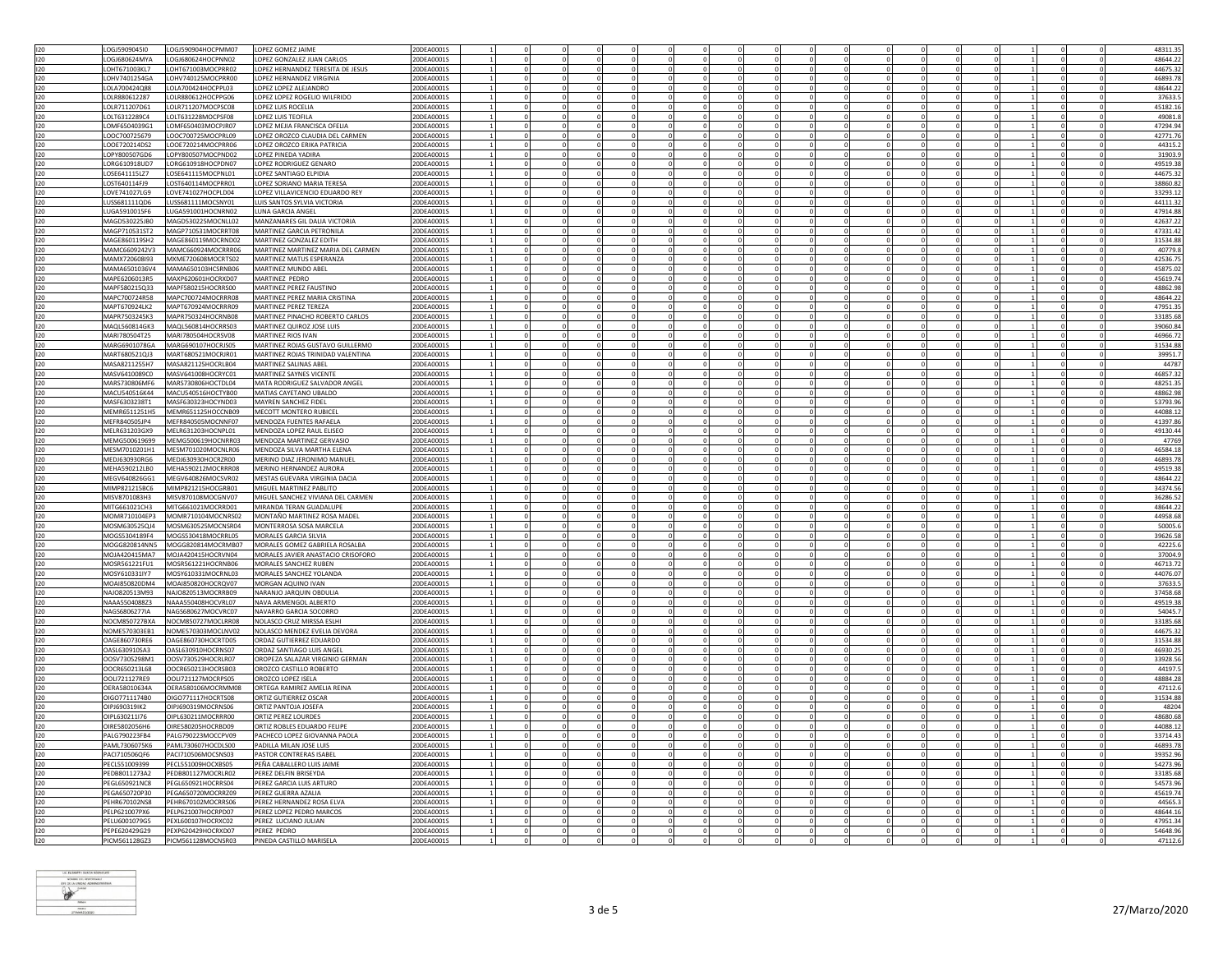|            | OGJ5909045I0   | LOGJ590904HOCPMM07  | LOPEZ GOMEZ JAIME                  | 20DEA00019 |          |          |          |             |          |                |                      |             |              |  | 48311.35 |
|------------|----------------|---------------------|------------------------------------|------------|----------|----------|----------|-------------|----------|----------------|----------------------|-------------|--------------|--|----------|
| 120        | OGJ680624MYA   | LOGJ680624HOCPNN02  | LOPEZ GONZALEZ JUAN CARLOS         | 20DEA00019 |          |          |          |             |          |                |                      |             |              |  | 48644.22 |
| 120        | LOHT671003KL7  | LOHT671003MOCPRR02  | LOPEZ HERNANDEZ TERESITA DE JESUS  | 20DEA00019 |          |          |          |             |          |                |                      |             |              |  | 44675.32 |
|            |                |                     |                                    |            |          |          |          |             |          |                |                      |             |              |  |          |
| 120        | OHV7401254GA   | OHV740125MOCPRR00   | LOPEZ HERNANDEZ VIRGINIA           | 20DEA0001S |          |          |          |             |          |                | 0                    |             | $\Omega$     |  | 46893.78 |
| 120        | OLA700424Q88   | LOLA700424HOCPPL03  | LOPEZ LOPEZ ALEJANDRO              | 20DEA00019 |          |          |          |             |          |                | $\Omega$             |             | $\Omega$     |  | 48644.22 |
| 120        | LOLR880612287  | LOLR880612HOCPPG06  | LOPEZ LOPEZ ROGELIO WILFRIDO       | 20DEA00019 |          |          |          |             |          |                | $\Omega$             |             | $\Omega$     |  | 37633.   |
| 120        | LOLR711207D61  | LOLR711207MOCPSC08  | <b>LOPEZ LUIS ROCELIA</b>          | 20DEA00019 |          |          |          |             |          |                |                      |             | 0            |  | 45182.16 |
|            |                |                     |                                    |            |          |          |          |             |          |                |                      |             |              |  |          |
| 120        | LOLT6312289C4  | LOLT631228MOCPSF08  | LOPEZ LUIS TEOFILA                 | 20DEA0001S | $\Omega$ | $\Omega$ |          | $\Omega$    | $\Omega$ | $\Omega$       | $\Omega$<br>$\Omega$ | $\Omega$    | $\Omega$     |  | 49081.8  |
| 120        | OMF6504039G1   | LOMF650403MOCPJR07  | LOPEZ MEJIA FRANCISCA OFELIA       | 20DEA00019 |          |          |          |             |          |                |                      |             |              |  | 47294.94 |
| 120        | OOC700725679   | LOOC700725MOCPRL09  | LOPEZ OROZCO CLAUDIA DEL CARMEN    | 20DEA00019 |          |          |          |             |          | $\Omega$       | $\Omega$             |             | $\Omega$     |  | 42771.76 |
| 120        | LOOE720214DS2  | LOOE720214MOCPRR06  | LOPEZ OROZCO ERIKA PATRICIA        | 20DEA0001S |          |          |          |             |          |                | $\mathbf 0$          |             | 0            |  | 44315.2  |
|            |                |                     |                                    |            |          |          |          |             |          |                |                      |             |              |  |          |
| 120        | LOPY800507GD6  | LOPY800507MOCPND02  | <b>LOPEZ PINEDA YADIRA</b>         | 20DEA0001S | $\Omega$ |          |          | $\Omega$    | $\Omega$ | $\Omega$       | $\Omega$             | $\Omega$    | $^{\circ}$   |  | 31903.9  |
| 120        | ORG610918UD7   | LORG610918HOCPDN07  | LOPEZ RODRIGUEZ GENARO             | 20DEA0001S |          |          |          |             |          |                | $\Omega$             |             |              |  | 49519.38 |
| 120        | OSE641115LZ7   | LOSE641115MOCPNL01  | LOPEZ SANTIAGO ELPIDIA             | 20DEA0001S |          |          |          |             |          |                | $\Omega$             |             | $\Omega$     |  | 44675.32 |
|            |                |                     |                                    |            |          |          |          |             |          |                |                      |             |              |  |          |
| 120        | LOST640114FJ9  | LOST640114MOCPRR01  | LOPEZ SORIANO MARIA TERESA         | 20DEA00019 |          |          |          |             |          |                | $\Omega$             |             |              |  | 38860.82 |
| 120        | LOVE741027LG9  | LOVE741027HOCPLD04  | LOPEZ VILLAVICENCIO EDUARDO REY    | 20DEA00019 |          |          |          |             |          |                |                      |             |              |  | 33293.12 |
| 120        | USS6811110D6   | LUSS681111MOCSNY01  | LUIS SANTOS SYLVIA VICTORIA        | 20DEA0001S |          |          |          | $\Omega$    |          | $\Omega$       | - 0                  |             | $\Omega$     |  | 44111.32 |
| 120        | UGA5910015F6   | LUGA591001HOCNRN02  | LUNA GARCIA ANGEL                  | 20DEA00019 |          |          |          |             |          |                |                      |             |              |  | 47914.88 |
|            |                |                     |                                    |            |          |          |          |             |          |                |                      |             |              |  |          |
| 120        | MAGD530225JB0  | MAGD530225MOCNLL02  | MANZANARES GIL DALIA VICTORIA      | 20DEA00019 | $\Omega$ | $\Omega$ |          | $\Omega$    | $\Omega$ | $\Omega$       | $\Omega$<br>$\Omega$ | $\Omega$    | $\Omega$     |  | 42637.22 |
| 120        | MAGP710531ST2  | MAGP710531MOCRRT08  | MARTINEZ GARCIA PETRONILA          | 20DEA0001S |          |          |          |             |          |                | $\mathbf 0$          | 0           | $\mathbf 0$  |  | 47331.42 |
| 120        | MAGE860119SH2  | MAGE860119MOCRND02  | MARTINEZ GONZALEZ EDITH            | 20DEA0001S | $\Omega$ | $\Omega$ | $\Omega$ | $\Omega$    | $\Omega$ | $\Omega$       | $\Omega$<br>$\Omega$ | $\Omega$    | $\Omega$     |  | 31534.88 |
|            |                |                     |                                    |            |          |          |          |             |          |                |                      |             |              |  |          |
| 120        | MAMC6609242V3  | MAMC660924MOCRRR06  | MARTINEZ MARTINEZ MARIA DEL CARMEN | 20DEA0001S |          |          |          |             |          |                |                      |             |              |  | 40779.8  |
| 120        | MAMX720608I93  | MXME720608MOCRTS02  | MARTINEZ MATUS ESPERANZA           | 20DEA0001S |          |          |          |             |          |                | $\Omega$             |             | $\Omega$     |  | 42536.75 |
| 120        | MAMA6501036V4  | MAMA650103HCSRNB06  | MARTINEZ MUNDO ABEL                | 20DEA00019 |          |          |          |             |          |                | $\Omega$             |             |              |  | 45875.02 |
| 120        | MAPE6206013R5  | MAXP620601HOCRXD07  | MARTINEZ PEDRO                     | 20DEA00019 |          |          |          |             |          |                | $\mathbf{0}$         |             |              |  | 45619.74 |
|            |                |                     |                                    |            |          |          |          |             |          |                |                      |             |              |  |          |
| 120        | MAPF580215Q33  | MAPF580215HOCRRS00  | MARTINEZ PEREZ FAUSTINO            | 20DEA00019 |          |          |          |             |          |                | 0                    |             | 0            |  | 48862.98 |
| 120        | MAPC700724R58  | MAPC700724MOCRRR08  | MARTINEZ PEREZ MARIA CRISTINA      | 20DEA0001S |          |          |          |             |          |                |                      |             |              |  | 48644.22 |
| 120        | MAPT670924LK2  | MAPT670924MOCRRR09  | <b>MARTINEZ PEREZ TEREZA</b>       | 20DEA00019 |          |          |          |             |          |                | $\Omega$             |             | $\Omega$     |  | 47951.35 |
| 120        | MAPR7503245K3  | MAPR750324HOCRNB08  | MARTINEZ PINACHO ROBERTO CARLOS    | 20DEA0001S |          |          |          |             |          |                | $\mathbf{0}$         |             | 0            |  | 33185.68 |
|            |                |                     |                                    |            |          |          |          |             |          |                |                      |             |              |  |          |
| 120        | MAOI 560814GK3 | MAOI 560814HOCRRS03 | MARTINEZ OUIROZ IOSE LUIS          | 20DEA0001S | $\Omega$ | $\Omega$ |          | $\Omega$    | $\Omega$ | $\Omega$       | $\Omega$<br>$\Omega$ | $\Omega$    | $\Omega$     |  | 39060.84 |
| 120        | MARI780504T25  | MARI780504HOCRSV08  | MARTINEZ RIOS IVAN                 | 20DEA0001S |          |          |          |             |          |                |                      |             |              |  | 46966.72 |
| 120        | MARG6901078GA  | MARG690107HOCRJS05  | MARTINEZ ROJAS GUSTAVO GUILLERMO   | 20DEA0001S |          |          |          |             |          | $\Omega$       | $\Omega$             |             | $\Omega$     |  | 31534.88 |
|            |                |                     |                                    |            |          |          |          |             |          |                | $\mathbf 0$          |             | 0            |  |          |
| 120        | MART680521QJ3  | MART680521MOCRJR01  | MARTINEZ ROJAS TRINIDAD VALENTINA  | 20DEA0001S |          |          |          |             |          |                |                      |             |              |  | 39951.7  |
| 120        | MASA8211255H7  | MASA821125HOCRLB04  | MARTINEZ SALINAS ABEL              | 20DEA00019 |          |          |          |             |          |                |                      |             |              |  | 44787    |
| 120        | MASV6410089C0  | MASV641008HOCRYC01  | MARTINEZ SAYNES VICENTE            | 20DEA00019 |          |          |          |             |          |                |                      |             |              |  | 46857.32 |
| 120        | MARS730806MF6  | MARS730806HOCTDL04  | MATA RODRIGUEZ SALVADOR ANGEL      | 20DEA0001S |          |          |          |             |          |                |                      |             |              |  | 48251.35 |
|            |                |                     |                                    |            |          |          |          |             |          |                |                      |             |              |  |          |
| 120        | MACU540516K44  | MACU540516HOCTYB00  | MATIAS CAYFTANO UBALDO             | 20DEA00019 |          |          |          |             |          |                | $\Omega$             |             | $\Omega$     |  | 48862.98 |
| 120        | MASF6303238T1  | MASF630323HOCYND03  | MAYREN SANCHEZ FIDEL               | 20DEA00019 |          |          |          |             |          |                |                      |             |              |  | 53793.96 |
| 120        | MEMR6511251H5  | MEMR651125HOCCNB09  | MECOTT MONTERO RUBICEL             | 20DEA0001S |          |          |          | 0           |          | $\overline{0}$ | $^{\circ}$           |             | $\mathbf{0}$ |  | 44088.12 |
|            |                |                     |                                    |            |          |          |          |             |          |                |                      |             |              |  |          |
| 120        | MEFR840505JP4  | MEFR840505MOCNNF07  | MENDOZA FUENTES RAFAELA            | 20DEA0001S |          |          |          |             |          |                |                      |             |              |  | 41397.86 |
| 120        | MELR631203GX9  | MELR631203HOCNPL01  | MENDOZA LOPEZ RAUL ELISEO          | 20DEA00019 | $\Omega$ | $\Omega$ |          | $\Omega$    |          | $\Omega$       | $\Omega$             | $\Omega$    | $\Omega$     |  | 49130.44 |
| 120        | MEMG500619699  | MEMG500619HOCNRR03  | MENDOZA MARTINEZ GERVASIO          | 20DEA0001S |          |          |          |             |          |                | $\mathbf 0$          |             | 0            |  | 47769    |
| 120        | MFSM7010201H1  | MESM701020MOCNLR06  | MENDOZA SILVA MARTHA FLENA         | 20DEA0001S | $\Omega$ |          |          | $\Omega$    |          | $\Omega$       | $\Omega$             | $\Omega$    | $\Omega$     |  | 46584.18 |
|            |                |                     |                                    |            |          |          |          |             |          |                |                      |             |              |  |          |
| 120        | MEDJ630930RG6  | MEDJ630930HOCRZR00  | MERINO DIAZ JERONIMO MANUEL        | 20DEA00019 |          |          |          |             |          |                |                      |             |              |  | 46893.78 |
| 120        | MEHA590212LB0  | MEHA590212MOCRRR08  | MERINO HERNANDEZ AURORA            | 20DEA0001S |          |          |          |             |          |                | $\Omega$             |             | $\Omega$     |  | 49519.38 |
| 120        | MEGV640826GG1  | MEGV640826MOCSVR02  | MESTAS GUEVARA VIRGINIA DACIA      | 20DEA0001S |          |          |          |             |          |                | $\Omega$             |             | $\Omega$     |  | 48644.22 |
|            | MIMP821215BC6  |                     |                                    |            |          |          |          | $\mathbf 0$ |          |                | $^{\circ}$           |             |              |  | 34374.56 |
| 120        |                | MIMP821215HOCGRB01  | MIGUEL MARTINEZ PABLITO            | 20DEA00019 |          |          |          |             |          |                |                      |             | $\mathbf 0$  |  |          |
| 120        | MISV8701083H3  | MISV870108MOCGNV07  | MIGUEL SANCHEZ VIVIANA DEL CARMEN  | 20DEA0001S |          |          |          |             |          |                | 0                    |             | 0            |  | 36286.52 |
| 120        | MITG661021CH3  | MITG661021MOCRRD01  | MIRANDA TERAN GUADALUPE            | 20DEA0001S |          |          |          |             |          |                |                      |             |              |  | 48644.22 |
| 120        | MOMR710104FP3  | MOMR710104MOCNRS02  | MONTAÑO MARTINEZ ROSA MADEL        | 20DEA00019 | $\Omega$ | $\Omega$ |          | $\Omega$    |          | $\Omega$       | $\Omega$             | $\Omega$    | $\Omega$     |  | 44958.68 |
| 120        | MOSM630525QJ4  | MOSM630525MOCNSR04  | MONTERROSA SOSA MARCELA            | 20DEA0001S |          |          |          |             |          |                | $\mathbf{0}$         |             | $\mathbf 0$  |  | 50005.   |
|            |                |                     |                                    |            |          |          |          |             |          |                |                      |             |              |  |          |
| 120        | MOGS5304189F4  | MOGS530418MOCRRL05  | MORALES GARCIA SILVIA              | 20DEA0001S | $\Omega$ |          |          | $\Omega$    |          | $\Omega$       | $\Omega$             |             | $\Omega$     |  | 39626.58 |
| 120        | MOGG820814NN5  | MOGG820814MOCRMB07  | MORALES GOMEZ GABRIELA ROSALBA     | 20DEA0001S |          |          |          |             |          |                |                      |             |              |  | 42225.6  |
| 120        | MOJA420415MA7  | MOJA420415HOCRVN04  | MORALES JAVIER ANASTACIO CRISOFORO | 20DEA0001S |          |          |          |             |          | $\Omega$       | $\Omega$             |             | $\Omega$     |  | 37004.9  |
|            |                |                     |                                    |            |          |          |          |             |          |                |                      |             |              |  |          |
| 120        | MOSR561221FU1  | MOSR561221HOCRNB06  | MORALES SANCHEZ RUBEN              | 20DEA0001S |          |          |          |             |          |                | 0                    |             | $^{\circ}$   |  | 46713.72 |
| 120        | MOSY610331IY7  | MOSY610331MOCRNL03  | MORALES SANCHEZ YOLANDA            | 20DEA0001S |          |          |          | $\Omega$    |          |                | $^{\circ}$           |             | $\mathbf{0}$ |  | 44076.07 |
| 120        | MOAI850820DM4  | MOAI850820HOCROV07  | MORGAN AQUINO IVAN                 | 20DEA00019 |          |          |          |             |          |                |                      |             |              |  | 37633.5  |
| 120        | NAJ0820513M93  | NAJO820513MOCRRB09  | NARANJO JARQUIN OBDULIA            | 20DEA0001S |          |          |          |             |          |                | $\Omega$             |             |              |  | 37458.68 |
|            |                |                     |                                    |            |          |          |          |             |          |                |                      |             |              |  |          |
| 120        | NAAA550408873  | NAAA550408HOCVRL07  | NAVA ARMENGOL ALBERTO              | 20DEA00019 | $\Omega$ |          |          | $\Omega$    |          |                | $\Omega$             | $\Omega$    | $\Omega$     |  | 49519.38 |
| 120        | NAGS6806277IA  | NAGS680627MOCVRC07  | NAVARRO GARCIA SOCORRO             | 20DEA00019 |          |          |          |             |          |                | $\Omega$             |             | $\mathbf 0$  |  | 54045.7  |
| 120        | NOCM850727BXA  | NOCM850727MOCLRR08  | NOLASCO CRUZ MIRSSA ESLH           | 20DEA0001S |          |          |          |             |          |                | 0                    |             | - 0          |  | 33185.68 |
| 120        | NOME570303EB1  | NOME570303MOCLNV02  | NOLASCO MENDEZ EVELIA DEVORA       | 20DEA0001S |          |          |          |             |          |                |                      |             |              |  | 44675.32 |
|            |                |                     |                                    |            |          |          |          |             |          |                |                      |             |              |  |          |
| 120        | OAGE860730RE6  | OAGE860730HOCRTD05  | ORDAZ GUTIERREZ EDUARDO            | 20DEA0001S | $\Omega$ | $\Omega$ |          | $\Omega$    |          | $\Omega$       | $\Omega$             |             | $\Omega$     |  | 31534.88 |
| 120        | OASL630910SA3  | OASL630910HOCRNS07  | ORDAZ SANTIAGO LUIS ANGEL          | 20DEA0001S |          |          |          |             |          |                | $\mathbf 0$          |             | $\mathbf 0$  |  | 46930.25 |
| 120        | 00SV7305298M1  | OOSV730529HOCRLR07  | OROPEZA SALAZAR VIRGINIO GERMAN    | 20DEA0001S |          |          |          |             |          |                | $\mathbf 0$          |             | $\mathbf{0}$ |  | 33928.56 |
| 120        | OOCR650213L68  | OOCR650213HOCRSB03  | OROZCO CASTILLO ROBERTO            | 20DEA00019 |          |          |          |             |          |                |                      |             |              |  | 44197.5  |
|            |                |                     |                                    |            |          |          |          |             |          |                |                      |             |              |  |          |
| 120        | OOLI721127RE9  | OOLI721127MOCRPS05  | OROZCO LOPEZ ISELA                 | 20DEA0001S |          |          |          |             |          |                | $\Omega$             |             | $\Omega$     |  | 48884.28 |
| 120        | OERA58010634A  | OERA580106MOCRMM08  | ORTEGA RAMIREZ AMELIA REINA        | 20DEA00019 |          |          |          |             |          |                | $\Omega$             |             |              |  | 47112.6  |
| 120        | OIGO7711174B0  | OIGO771117HOCRTS08  | ORTIZ GUTIERREZ OSCAR              | 20DEA0001S |          |          |          | $\mathbf 0$ |          |                | $\mathbf 0$          |             | $^{\circ}$   |  | 31534.88 |
|            |                |                     |                                    |            |          |          |          |             |          |                |                      |             |              |  |          |
| 120        | OIPJ690319IK2  | OIPJ690319MOCRNS06  | ORTIZ PANTOJA JOSEFA               | 20DEA00019 |          |          |          |             |          |                |                      |             |              |  | 48204    |
| 120        | OIPL630211I76  | OIPL630211MOCRRR00  | ORTIZ PEREZ LOURDES                | 20DEA0001S |          |          |          |             |          |                |                      |             |              |  | 48680.68 |
| 120        | OIRE5802056H6  | OIRE580205HOCRBD09  | ORTIZ ROBLES EDUARDO FELIPE        | 20DEA0001S | $\Omega$ | $\Omega$ |          | $\Omega$    |          | $\Omega$       | $\Omega$             | $\Omega$    | $\Omega$     |  | 44088.12 |
| 120        | PALG790223FB4  | PALG790223MOCCPV09  | PACHECO LOPEZ GIOVANNA PAOLA       | 20DEA0001S |          |          |          |             |          |                | $\mathbf 0$          |             | $\mathbf 0$  |  | 33714.43 |
|            |                |                     |                                    |            |          |          |          |             |          |                |                      |             |              |  |          |
| 120        | PAML7306075K6  | PAML730607HOCDLS00  | PADILLA MILAN JOSE LUIS            | 20DEA00019 |          |          |          |             |          |                | $\Omega$             |             | $\Omega$     |  | 46893.78 |
| 120        | ACI710506QF6   | PACI710506MOCSNS03  | PASTOR CONTRERAS ISABEL            | 20DEA0001S |          |          |          |             |          |                |                      |             |              |  | 39352.96 |
| 120        | PECL551009399  | PECL551009HOCXBS05  | PEÑA CABALLERO LUIS JAIME          | 20DEA00019 |          |          |          |             |          | $\Omega$       | $\Omega$             |             | $\Omega$     |  | 54273.9  |
|            |                |                     |                                    |            |          |          |          |             |          |                |                      |             |              |  |          |
|            | PEDB8011273A2  | PEDB801127MOCRLR02  | PEREZ DELFIN BRISEYDA              | 20DEA00019 |          |          |          |             |          |                | $\Omega$             |             | $\Omega$     |  | 33185.68 |
| 120        |                | PEGL650921HOCRRS04  | PEREZ GARCIA LUIS ARTURO           | 20DEA0001S |          |          |          | $\Omega$    |          |                | $\mathbf 0$          |             | $^{\circ}$   |  | 54573.96 |
| 120        | PEGL650921NC8  |                     |                                    | 20DEA00019 |          |          |          |             |          |                |                      |             |              |  | 45619.74 |
| 120        | EGA650720P30   | PEGA650720MOCRRZ09  | PEREZ GUERRA AZALIA                |            |          |          |          |             |          |                |                      |             |              |  |          |
|            |                |                     |                                    |            |          |          |          |             |          |                |                      |             |              |  |          |
| 120        | PEHR670102NS8  | PEHR670102MOCRRS06  | PEREZ HERNANDEZ ROSA ELVA          | 20DEA0001S |          |          |          |             |          |                |                      |             |              |  | 44565.   |
| 120        | PFI P621007PX6 | PELP621007HOCRPD07  | PEREZ LOPEZ PEDRO MARCOS           | 20DEA0001S | $\Omega$ |          |          | $\Omega$    |          |                | $\Omega$             | $\Omega$    | $\Omega$     |  | 48644.16 |
| 120        | PELU6001079G5  | PEXL600107HOCRXC02  | PEREZ LUCIANO JULIAN               | 20DEA0001S |          |          |          | $\mathbf 0$ |          |                | $\mathbf 0$          | $\mathbf 0$ | $\mathbf 0$  |  | 47951.34 |
|            | PEPE620429G29  | PEXP620429HOCRXD07  | PEREZ PEDRO                        | 20DEA0001S |          |          |          |             |          |                |                      |             |              |  | 54648.96 |
| 120<br>120 | PICM561128GZ3  | PICM561128MOCNSR03  | PINEDA CASTILLO MARISELA           | 20DEA0001S |          |          |          |             |          |                |                      |             |              |  | 47112.6  |

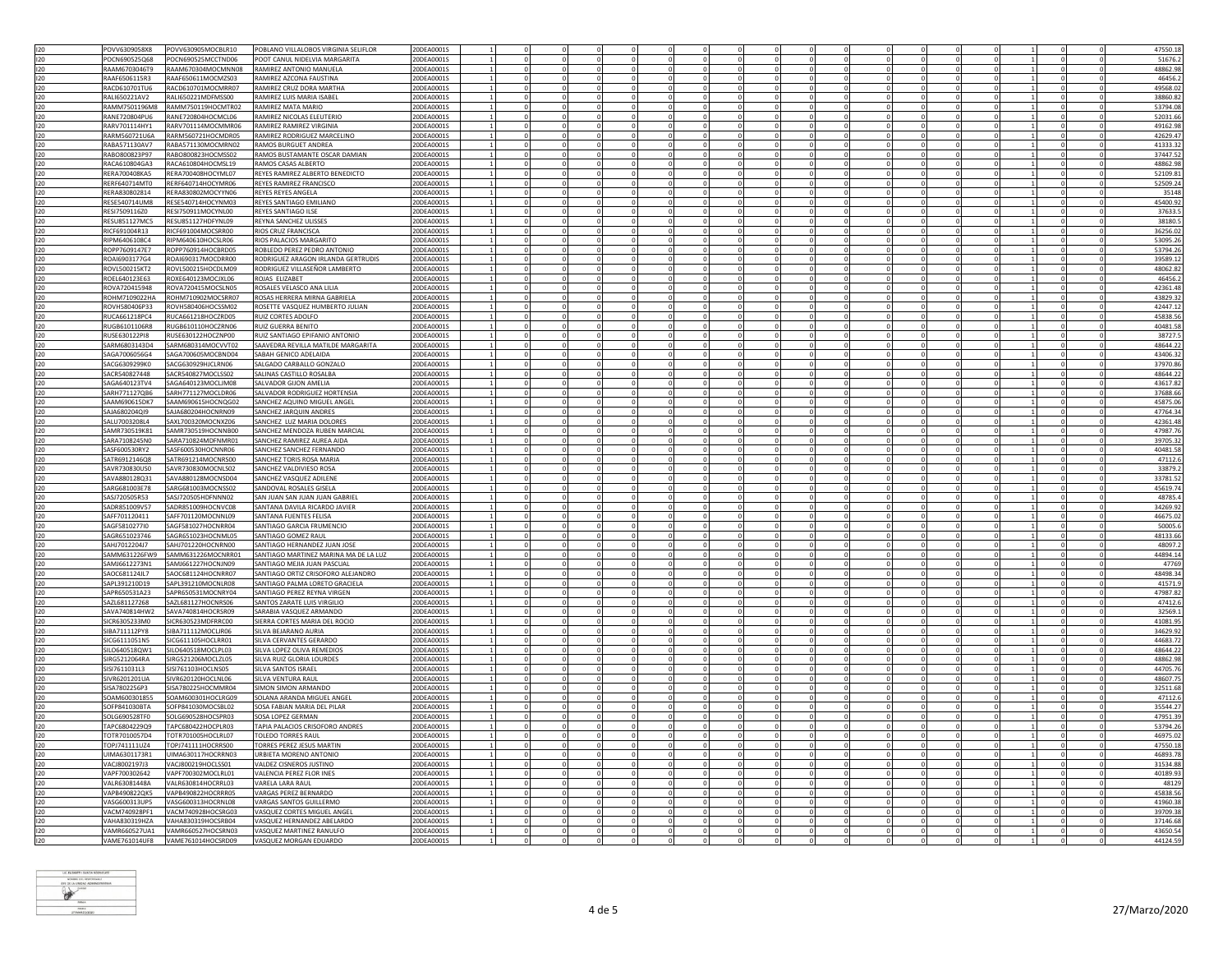|     | POVV6309058X8        | POVV630905MOCBLR10               | POBLANO VILLALOBOS VIRGINIA SELIFLOR  | 20DEA0001S |          |                      |              |                      |                        |              |                | 47550.18 |
|-----|----------------------|----------------------------------|---------------------------------------|------------|----------|----------------------|--------------|----------------------|------------------------|--------------|----------------|----------|
| 120 | POCN690525Q68        | POCN690525MCCTND06               | POOT CANUL NIDELVIA MARGARITA         | 20DEA0001S |          |                      |              |                      |                        |              |                | 51676.   |
| 120 | RAAM6703046T9        | RAAM670304MOCMNN08               | RAMIREZ ANTONIO MANUELA               | 20DEA0001S |          |                      |              |                      |                        |              |                | 48862.98 |
| 120 | RAAF6506115R3        | RAAF650611MOCMZS03               | RAMIREZ AZCONA FAUSTINA               | 20DEA0001S |          |                      | $^{\circ}$   |                      |                        |              |                | 46456.2  |
| 120 | RACD610701TU6        | RACD610701MOCMRR07               | RAMIREZ CRUZ DORA MARTHA              | 20DEA0001S |          |                      | $\Omega$     |                      |                        |              |                | 49568.0  |
|     |                      |                                  |                                       |            |          |                      |              |                      |                        |              |                |          |
| 120 | RALI650221AV2        | RALI650221MDFMSS00               | RAMIREZ LUIS MARIA ISABEI             | 20DEA00019 |          |                      |              |                      |                        |              |                | 38860.8  |
| 120 |                      | RAMM7501196M8 RAMM750119HOCMTR02 | RAMIREZ MATA MARIO                    | 20DEA0001S |          |                      |              |                      |                        |              |                | 53794.08 |
| 120 | <b>RANE720804PU6</b> | RANE720804HOCMCL06               | RAMIREZ NICOLAS ELEUTERIO             | 20DEA0001S | $\Omega$ | $\Omega$             | $\Omega$     | $\Omega$             | $\Omega$<br>$\Omega$   |              | $\Omega$       | 52031.66 |
| 120 | RARV701114HY1        | RARV701114MOCMMR06               | RAMIREZ RAMIREZ VIRGINIA              | 20DEA0001S |          |                      |              |                      |                        |              |                | 49162.98 |
| 120 | RARM560721U6A        | RARM560721HOCMDR05               | RAMIREZ RODRIGUEZ MARCELINO           | 20DEA00019 |          |                      | $\Omega$     |                      |                        |              | $\Omega$       | 42629.4  |
| 120 | RABA571130AV7        | RABA571130MOCMRN02               | RAMOS BURGUET ANDREA                  | 20DEA0001S |          |                      |              |                      |                        |              |                | 41333.32 |
| 120 |                      |                                  |                                       |            |          |                      |              |                      |                        |              |                |          |
|     | RABO800823P97        | RABO800823HOCMSS02               | RAMOS BUSTAMANTE OSCAR DAMIAN         | 20DEA0001S | $\Omega$ |                      | $^{\circ}$   | $\Omega$             | $^{\circ}$             |              | $\mathbf{0}$   | 37447.52 |
| 120 | RACA610804GA3        | RACA610804HOCMSL19               | RAMOS CASAS ALBERTO                   | 20DEA0001S |          |                      | $^{\circ}$   |                      |                        |              |                | 48862.98 |
| 120 | RERA700408KA5        | RERA700408HOCYML07               | REYES RAMIREZ ALBERTO BENEDICTO       | 20DEA0001S |          |                      | $\Omega$     |                      |                        |              |                | 52109.8  |
| 120 | RERF640714MT0        | RERF640714HOCYMR06               | REYES RAMIREZ FRANCISCO               | 20DEA00019 |          |                      |              |                      |                        |              |                | 52509.2  |
| 120 | RERA830802814        | RERA830802MOCYYN06               | <b>REYES REYES ANGELA</b>             | 20DEA00019 |          |                      | $\mathbf 0$  |                      |                        |              |                | 35148    |
|     |                      |                                  |                                       |            |          |                      |              |                      |                        |              |                |          |
| 120 | <b>RESES40714UM8</b> | RESE540714HOCYNM03               | REYES SANTIAGO EMILIANO               | 20DEA0001S | $\Omega$ | $\Omega$             | $\Omega$     | $\Omega$<br>$\Omega$ | $\Omega$<br>$\Omega$   |              | $\Omega$       | 45400.92 |
| 120 | RESI7509116Z0        | RESI750911MOCYNL00               | REYES SANTIAGO ILSI                   | 20DEA00019 |          |                      |              |                      |                        |              |                | 37633.   |
| 120 | RESU851127MC5        | RESU851127HDFYNL09               | REYNA SANCHEZ ULISSES                 | 20DEA00019 | $\Omega$ | $\Omega$             | $\Omega$     | $\Omega$             | $\Omega$               |              | $\Omega$       | 38180.   |
| 120 | RICF691004R13        | RICF691004MOCSRR00               | RIOS CRUZ FRANCISCA                   | 20DEA0001S |          |                      | $^{\circ}$   | $\mathbf 0$          | 0                      |              | $^{\circ}$     | 36256.02 |
| 120 | RIPM6406108C4        | RIPM640610HOCSLR06               | RIOS PALACIOS MARGARITO               | 20DEA0001S | $\Omega$ | $\Omega$             | $\mathbf{0}$ | $\Omega$<br>$\Omega$ | $\Omega$<br>$^{\circ}$ |              | $^{\circ}$     | 53095.26 |
| 120 | ROPP7609147E7        |                                  |                                       | 20DEA0001S |          |                      |              |                      |                        |              |                | 53794.26 |
|     |                      | ROPP760914HOCBRD05               | ROBLEDO PEREZ PEDRO ANTONIO           |            |          |                      | $^{\circ}$   |                      |                        |              |                |          |
| 120 | ROAI6903177G4        | ROAI690317MOCDRR00               | RODRIGUEZ ARAGON IRLANDA GERTRUDIS    | 20DEA0001S |          |                      | $\Omega$     |                      |                        |              |                | 39589.1  |
| 120 | ROVL500215KT2        | ROVL500215HOCDLM09               | RODRIGUEZ VILLASEÑOR LAMBERTO         | 20DEA00019 |          |                      |              |                      |                        |              |                | 48062.82 |
| 120 | ROEL640123E63        | ROXE640123MOCJXL06               | ROJAS ELIZABET                        | 20DEA0001S |          |                      | $\mathbf 0$  |                      |                        |              |                | 46456.2  |
| 120 | ROVA720415948        | ROVA720415MOCSLN05               | ROSALES VELASCO ANA LILIA             | 20DEA0001S | $\Omega$ |                      | $\Omega$     | $\Omega$             | $\Omega$<br>$\Omega$   |              | $\Omega$       | 42361.48 |
| 120 | ROHM7109022HA        | ROHM710902MOCSRR07               | ROSAS HERRERA MIRNA GABRIELA          | 20DEA0001S |          |                      |              |                      |                        |              |                | 43829.32 |
|     |                      |                                  |                                       |            |          |                      | $\Omega$     |                      |                        |              |                |          |
| 120 | ROVH580406P33        | ROVH580406HOCSSM02               | ROSETTE VASQUEZ HUMBERTO JULIAN       | 20DEA0001S |          |                      |              |                      |                        |              |                | 42447.1  |
| 120 | RUCA661218PC4        | RUCA661218HOCZRD05               | RUIZ CORTES ADOLFO                    | 20DEA0001S |          |                      | $^{\circ}$   |                      |                        |              | $^{\circ}$     | 45838.56 |
| 120 | RUGB6101106R8        | RUGB610110HOCZRN06               | <b>RUIZ GUERRA BENITO</b>             | 20DEA0001S | $\Omega$ | $\Omega$             | $\mathbf{0}$ | $\Omega$             | $\Omega$<br>$\Omega$   |              | $^{\circ}$     | 40481.58 |
| 120 | RUSE630122PI8        | RUSE630122HOCZNP00               | RUIZ SANTIAGO EPIFANIO ANTONIO        | 20DEA0001S |          |                      | $\Omega$     |                      |                        |              |                | 38727.   |
| 120 | SARM6803143D4        | SARM680314MOCVVT02               | SAAVEDRA REVILLA MATILDE MARGARITA    | 20DEA0001S |          |                      |              |                      |                        |              |                | 48644.2  |
| 120 |                      | SAGA700605MOCBND04               |                                       | 20DEA00019 |          |                      |              |                      |                        |              |                |          |
|     | SAGA7006056G4        |                                  | SABAH GENICO ADELAIDA                 |            |          |                      |              |                      |                        |              |                | 43406.32 |
| 120 | SACG6309299K0        | SACG630929HJCLRN06               | SALGADO CARBALLO GONZALO              | 20DEA00019 |          |                      |              |                      |                        |              |                | 37970.8  |
| 120 | SACR540827448        | SACR540827MOCLSS02               | SALINAS CASTILLO ROSALBA              | 20DEA0001S |          |                      | $^{\circ}$   | $^{\circ}$           |                        |              |                | 48644.2  |
| 120 | SAGA640123TV4        | SAGA640123MOCLIM08               | SALVADOR GIJON AMELIA                 | 20DEA0001S |          |                      |              |                      |                        |              |                | 43617.8  |
| 120 | SARH771127QB6        | SARH771127MOCLDR06               | SALVADOR RODRIGUEZ HORTENSIA          | 20DEA00019 |          |                      |              |                      |                        |              |                | 37688.6  |
| 120 | SAAM690615DK7        | SAAM690615HOCNOG02               | SANCHEZ AQUINO MIGUEL ANGEL           | 20DEA0001S |          |                      | $\mathbf 0$  |                      |                        |              |                |          |
|     |                      |                                  |                                       |            |          |                      |              |                      |                        |              | $^{\circ}$     | 45875.06 |
| 120 | SAIA680204O19        | SAIA680204HOCNRN09               | SANCHEZ JAROUIN ANDRES                | 20DEA0001S | $\Omega$ | $\Omega$<br>$\Omega$ | $\Omega$     | $\Omega$<br>$\Omega$ | $\Omega$<br>$\Omega$   | $\Omega$     | $\Omega$       | 47764.34 |
| 120 | SALU7003208L4        | SAXL700320MOCNXZ06               | SANCHEZ LUZ MARIA DOLORES             | 20DEA00019 |          |                      |              |                      |                        |              |                | 42361.48 |
| 120 | SAMR730519K81        | SAMR730519HOCNNB00               | SANCHEZ MENDOZA RUBEN MARCIAL         | 20DEA0001S | $\Omega$ |                      | $\Omega$     | $\Omega$             | $\Omega$               |              | $\Omega$       | 47987.7  |
| 120 | SARA7108245N0        | SARA710824MDFNMR01               | SANCHEZ RAMIREZ AUREA AIDA            | 20DEA0001S |          |                      |              |                      |                        |              | $\mathbf 0$    | 39705.32 |
| 120 |                      |                                  |                                       |            | $\Omega$ |                      | $\Omega$     | $\Omega$             |                        |              |                |          |
|     | SASF600530RY2        | SASF600530HOCNNR06               | SANCHEZ SANCHEZ FERNANDO              | 20DEA0001S |          |                      |              |                      | $^{\circ}$             |              | $\mathbf{0}$   | 40481.5  |
| 120 | SATR6912146Q8        | SATR691214MOCNRS00               | SANCHEZ TORIS ROSA MARIA              | 20DEA0001S |          |                      | $^{\circ}$   |                      |                        |              |                | 47112.   |
| 120 | SAVR730830US0        | SAVR730830MOCNLS02               | SANCHEZ VALDIVIESO ROSA               | 20DEA0001S |          |                      |              |                      |                        |              |                | 33879.   |
| 120 | SAVA880128Q31        | SAVA880128MOCNSD04               | SANCHEZ VASQUEZ ADILENE               | 20DEA0001S |          |                      | $\Omega$     | $\Omega$             |                        |              |                | 33781.5  |
| 120 | SARG681003E78        | SARG681003MOCNSS02               | SANDOVAL ROSALES GISELA               | 20DEA0001S |          |                      | $\mathbf{0}$ | $\mathbf 0$          | $^{\circ}$             |              | $^{\circ}$     | 45619.74 |
|     |                      |                                  |                                       |            |          |                      |              |                      |                        |              |                |          |
| 120 | SASI720505R53        | SASI720505HDENNN02               | SAN IUAN SAN IUAN IUAN GABRIEL        | 20DEA0001S | $\Omega$ | $\Omega$<br>$\Omega$ | $\Omega$     | $\Omega$<br>$\Omega$ | $\Omega$<br>$\Omega$   | $\Omega$     | $\Omega$       | 48785.4  |
| 120 | SADR851009V57        | SADR851009HOCNVC08               | SANTANA DAVILA RICARDO JAVIER         | 20DEA0001S |          |                      |              |                      |                        |              |                | 34269.9  |
| 120 | SAFF701120411        | SAFF701120MOCNNL09               | SANTANA FUENTES FELISA                | 20DEA00019 |          |                      | $\Omega$     | $\Omega$             | $\Omega$               |              | $\Omega$       | 46675.0  |
| 120 | SAGF5810277I0        | SAGF581027HOCNRR04               | SANTIAGO GARCIA FRUMENCIO             | 20DEA0001S |          |                      | $\mathbf 0$  | $\mathbf 0$          | 0                      |              | $\mathbf 0$    | 50005.   |
| 120 | SAGR651023746        | SAGR651023HOCNML05               | SANTIAGO GOMEZ RAUL                   | 20DEA0001S | $\Omega$ | $\Omega$             | $^{\circ}$   | $^{\circ}$           | $^{\circ}$             |              | $\mathbf{0}$   | 48133.6  |
|     |                      |                                  |                                       |            |          |                      |              |                      |                        |              |                |          |
| 120 | SAHJ7012204J7        | SAHJ701220HOCNRN00               | SANTIAGO HERNANDEZ JUAN JOSE          | 20DEA0001S |          |                      | $^{\circ}$   |                      |                        |              |                | 48097.   |
| 120 | SAMM631226FW9        | SAMM631226MOCNRR01               | SANTIAGO MARTINEZ MARINA MA DE LA LUZ | 20DEA0001S |          |                      | $\Omega$     |                      |                        |              |                | 44894.14 |
| 120 | SAMJ6612273N1        | SAMJ661227HOCNJN09               | SANTIAGO MEJIA JUAN PASCUAL           | 20DEA0001S |          |                      | $\Omega$     |                      |                        |              |                | 47769    |
| 120 | SAOC681124JL7        | SAOC681124HOCNRR07               | SANTIAGO ORTIZ CRISOFORO ALEJANDRO    | 20DEA0001S |          |                      | $\mathbf{0}$ | $\mathbf 0$          | $\mathbf 0$            |              | $^{\circ}$     | 48498.34 |
| 120 | SAPI 391210D19       | SAPI 391210MOCNI R08             | SANTIAGO PAI MA LORETO GRACIELA       | 20DEA0001S | $\Omega$ | $\Omega$             | $\Omega$     | $\Omega$<br>$\Omega$ | $\Omega$<br>$\Omega$   |              | $\Omega$       | 41571.9  |
|     |                      |                                  |                                       |            |          |                      |              |                      |                        |              |                |          |
| 120 | SAPR650531A23        | SAPR650531MOCNRY04               | SANTIAGO PEREZ REYNA VIRGEN           | 20DEA00019 |          |                      |              |                      |                        |              |                | 47987.8  |
| 120 | SAZL681127268        | SAZL681127HOCNRS06               | SANTOS ZARATE LUIS VIRGILIO           | 20DEA00019 |          | $\Omega$             | $\Omega$     | $\Omega$             | $\Omega$               |              | $\Omega$       | 47412.   |
| 120 | SAVA740814HW2        | SAVA740814HOCRSR09               | SARABIA VASQUEZ ARMANDO               | 20DEA0001S |          |                      |              | $\mathbf 0$          | $^{\circ}$             |              | $\mathbf 0$    | 32569.   |
| 120 | SICR6305233M0        | SICR630523MDFRRC00               | SIERRA CORTES MARIA DEL ROCIO         | 20DEA0001S | $\Omega$ | $\Omega$             | $\Omega$     | $\Omega$<br>$\Omega$ | $\Omega$<br>$\Omega$   | $\Omega$     | $\overline{0}$ | 41081.9  |
| 120 | SIBA711112PY8        | SIBA711112MOCLIR06               | SILVA BEJARANO AURIA                  | 20DEA00019 |          |                      |              |                      |                        |              |                | 34629.92 |
| 120 |                      | SICG611105HOCLRR01               | SILVA CERVANTES GERARDO               | 20DEA0001S | $\Omega$ |                      | $\Omega$     | $\Omega$             | $\Omega$               |              | $\Omega$       |          |
|     | SICG6111051N5        |                                  |                                       |            |          |                      |              |                      |                        |              |                | 44683.7  |
| 120 | SILO640518QW1        | SILO640518MOCLPL03               | SILVA LOPEZ OLIVA REMEDIOS            | 20DEA0001S |          |                      | $\Omega$     | $\Omega$             |                        |              | $\Omega$       | 48644.22 |
| 120 | SIRG5212064RA        | SIRG521206MOCLZL05               | SILVA RUIZ GLORIA LOURDES             | 20DEA00019 |          |                      | $\mathbf 0$  |                      |                        |              |                | 48862.98 |
| 120 | SISI7611031L3        | SISI761103HOCLNS05               | SILVA SANTOS ISRAEL                   | 20DEA0001S |          |                      | $^{\circ}$   |                      |                        |              |                | 44705.76 |
| 120 | SIVR6201201UA        | SIVR620120HOCLNL06               | SILVA VENTURA RAU                     | 20DEA00019 |          |                      |              |                      |                        |              |                | 48607.7  |
|     |                      |                                  | SIMON SIMON ARMANDO                   |            |          |                      |              |                      |                        |              |                |          |
| 120 | SISA7802256P3        | SISA780225HOCMMR04               |                                       | 20DEA00019 |          |                      |              |                      |                        |              |                | 32511.68 |
| 120 | SOAM600301855        | SOAM600301HOCLRG09               | SOLANA ARANDA MIGUEL ANGEL            | 20DEA0001S |          |                      |              |                      | 0                      |              | $\mathbf 0$    | 47112.   |
| 120 | SOFP841030BTA        | SOFP841030MOCSBL02               | SOSA FABIAN MARIA DEL PILAR           | 20DEA0001S | $\Omega$ | $\Omega$<br>$\Omega$ | $\Omega$     | $\Omega$<br>$\Omega$ | $\Omega$<br>$\Omega$   | $\Omega$     | $\overline{0}$ | 35544.27 |
| 120 | SOLG690528TF0        | SOLG690528HOCSPR03               | SOSA LOPEZ GERMAN                     | 20DEA00019 |          |                      |              |                      |                        |              |                | 47951.39 |
| 120 | TAPC6804229Q9        | TAPC680422HOCPLR03               | TAPIA PALACIOS CRISOFORO ANDRES       | 20DEA0001S |          |                      | $\Omega$     | $\Omega$             | $\Omega$               |              | $\Omega$       | 53794.2  |
| 120 | TOTR7010057D4        | TOTR701005HOCLRL07               | TOLEDO TORRES RAUL                    | 20DEA0001S |          |                      | $\mathbf 0$  | $\mathbf 0$          |                        |              | $\mathbf 0$    | 46975.02 |
|     |                      |                                  |                                       |            |          |                      |              |                      |                        |              |                |          |
| 120 | TOPJ741111UZ4        | TOPJ741111HOCRRS00               | TORRES PEREZ JESUS MARTIN             | 20DEA0001S |          |                      | 0            |                      |                        |              | 0              | 47550.18 |
| 120 | UIMA6301173R1        | UIMA630117HOCRRN03               | URBIETA MORENO ANTONIO                | 20DEA0001S |          |                      | $^{\circ}$   |                      |                        |              |                | 46893.78 |
| 120 | VACJ8002197J3        | VACJ800219HOCLSS01               | VALDEZ CISNEROS JUSTINO               | 20DEA0001S |          |                      |              |                      |                        |              |                | 31534.88 |
| 120 | VAPF700302642        | VAPF700302MOCLRL01               | VALENCIA PEREZ FLOR INES              | 20DEA00019 |          |                      |              |                      |                        |              |                | 40189.93 |
| 120 | VALR63081448A        | VALR630814HOCRRL03               | VARELA LARA RAUL                      | 20DEA0001S |          |                      | $\mathbf 0$  |                      |                        |              |                | 48129    |
|     |                      |                                  |                                       |            |          |                      |              |                      |                        |              |                |          |
| 120 | VAPR490822OK5        | VAPR490822HOCRRR05               | VARGAS PEREZ BERNARDO                 | 20DEA0001S | $\Omega$ |                      | $\Omega$     | $\Omega$             | $\Omega$               |              | $\Omega$       | 45838.56 |
| 120 | VASG600313UP5        | VASG600313HOCRNL08               | VARGAS SANTOS GUILLERMO               | 20DEA00019 |          |                      |              |                      |                        |              |                | 41960.38 |
| 120 | VACM740928PF1        | VACM740928HOCSRG03               | VASQUEZ CORTES MIGUEL ANGE            | 20DEA0001S |          |                      | $\Omega$     | $\Omega$             |                        |              | $\Omega$       | 39709.38 |
| 120 | VAHA830319HZA        | VAHA830319HOCSRB04               | VASQUEZ HERNANDEZ ABELARDO            | 20DEA0001S |          |                      |              |                      |                        |              | 0              | 37146.68 |
| 120 |                      | VAMR660527UA1 VAMR660527HOCSRN03 | VASQUEZ MARTINEZ RANULFO              | 20DEA0001S |          | 0                    | $^{\circ}$   | $\Omega$             | 0                      | $\mathbf{0}$ | $^{\circ}$     | 43650.54 |
|     |                      |                                  |                                       |            |          |                      |              |                      |                        |              |                |          |
| 120 | VAME761014UF8        | VAME761014HOCSRD09               | VASQUEZ MORGAN EDUARDO                | 20DEA00019 |          |                      |              |                      |                        |              |                | 44124.59 |